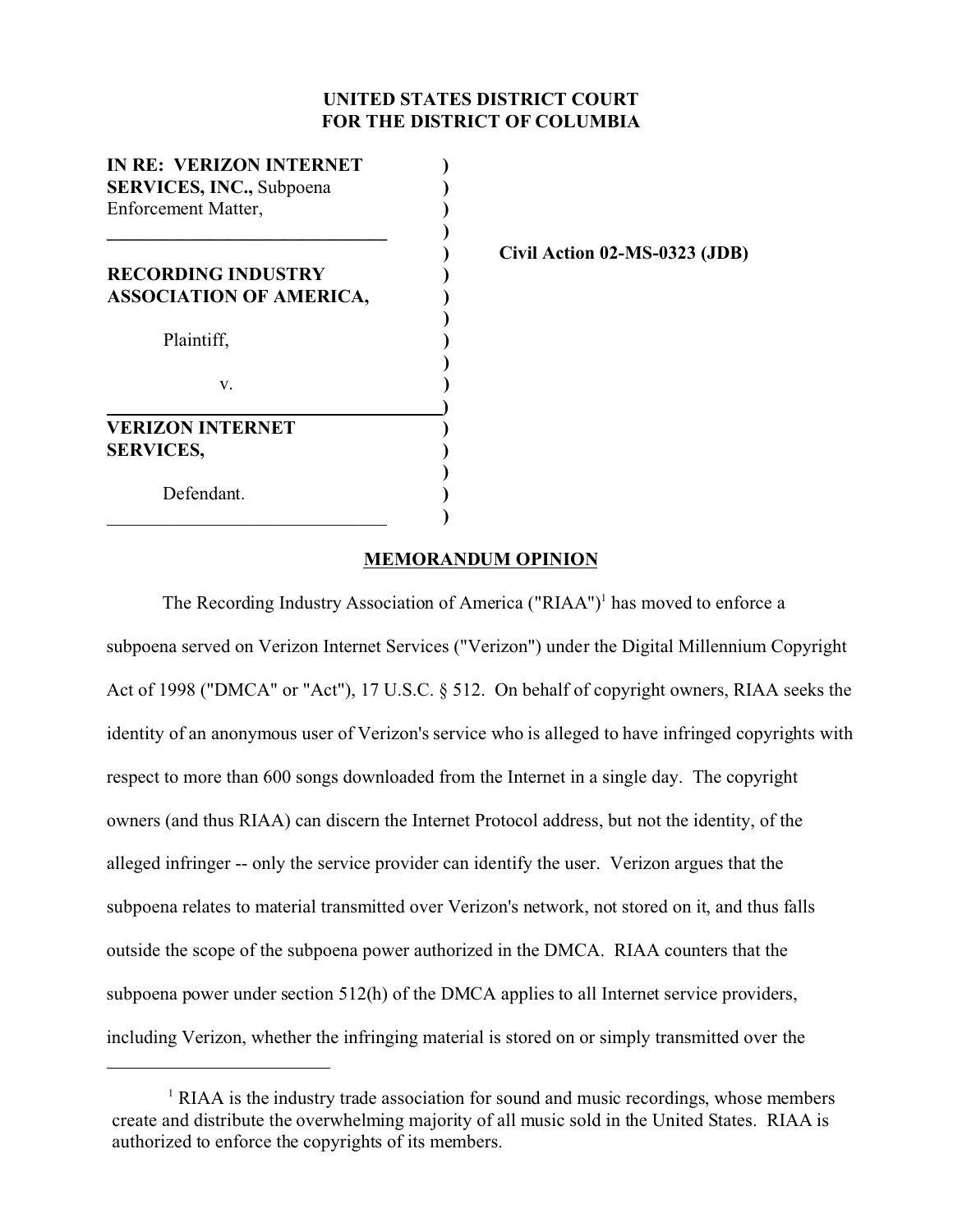# **UNITED STATES DISTRICT COURT FOR THE DISTRICT OF COLUMBIA**

| <b>IN RE: VERIZON INTERNET</b>  |  |
|---------------------------------|--|
| <b>SERVICES, INC., Subpoena</b> |  |
| Enforcement Matter,             |  |
|                                 |  |
|                                 |  |
| <b>RECORDING INDUSTRY</b>       |  |
| <b>ASSOCIATION OF AMERICA,</b>  |  |
|                                 |  |
| Plaintiff,                      |  |
|                                 |  |
| v.                              |  |
|                                 |  |
| <b>VERIZON INTERNET</b>         |  |
| <b>SERVICES,</b>                |  |
|                                 |  |
| Defendant.                      |  |
|                                 |  |

**) Civil Action 02-MS-0323 (JDB)**

## **MEMORANDUM OPINION**

The Recording Industry Association of America ("RIAA")<sup>1</sup> has moved to enforce a subpoena served on Verizon Internet Services ("Verizon") under the Digital Millennium Copyright Act of 1998 ("DMCA" or "Act"), 17 U.S.C. § 512. On behalf of copyright owners, RIAA seeks the identity of an anonymous user of Verizon's service who is alleged to have infringed copyrights with respect to more than 600 songs downloaded from the Internet in a single day. The copyright owners (and thus RIAA) can discern the Internet Protocol address, but not the identity, of the alleged infringer -- only the service provider can identify the user. Verizon argues that the subpoena relates to material transmitted over Verizon's network, not stored on it, and thus falls outside the scope of the subpoena power authorized in the DMCA. RIAA counters that the subpoena power under section 512(h) of the DMCA applies to all Internet service providers, including Verizon, whether the infringing material is stored on or simply transmitted over the

<sup>&</sup>lt;sup>1</sup> RIAA is the industry trade association for sound and music recordings, whose members create and distribute the overwhelming majority of all music sold in the United States. RIAA is authorized to enforce the copyrights of its members.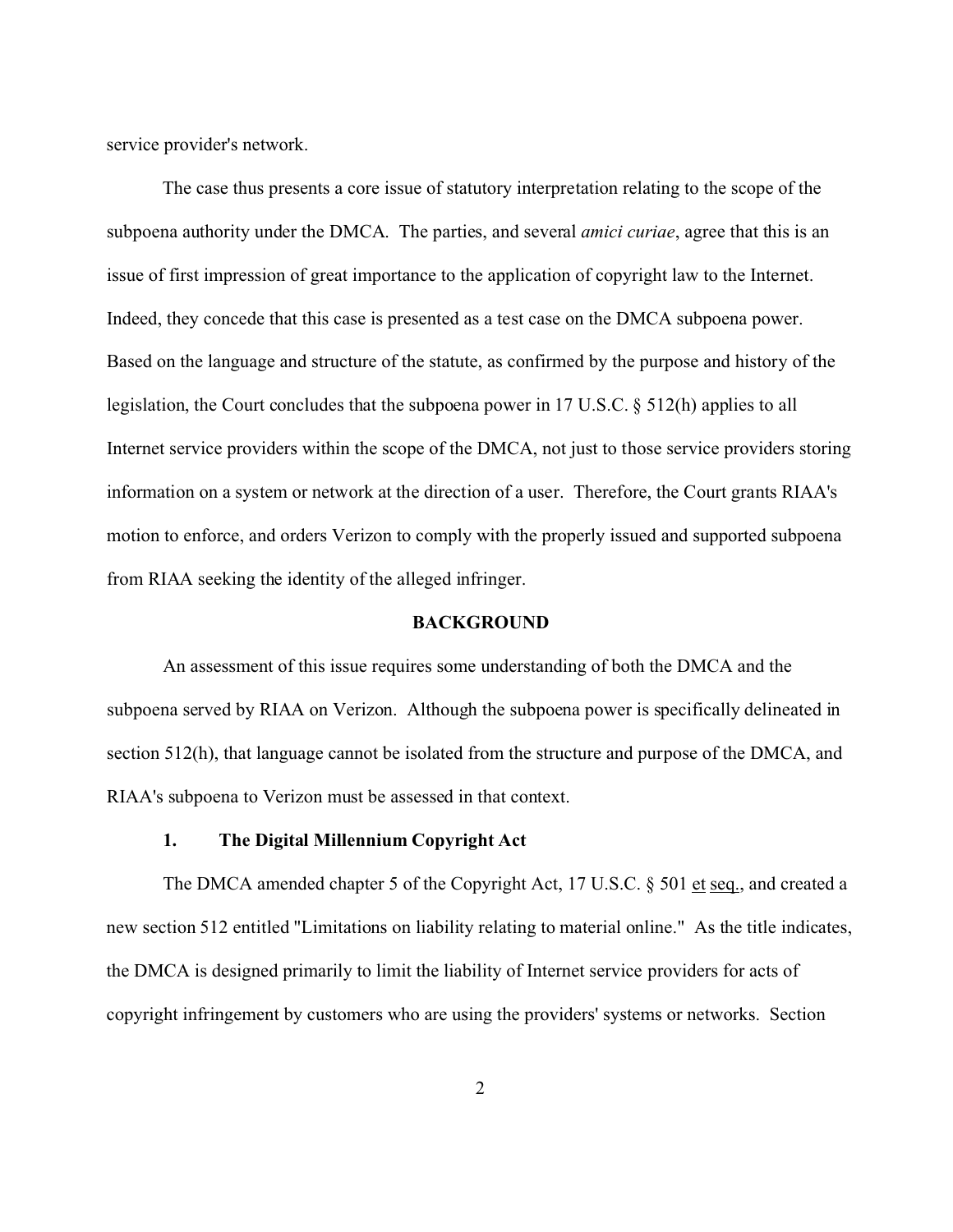service provider's network.

The case thus presents a core issue of statutory interpretation relating to the scope of the subpoena authority under the DMCA. The parties, and several *amici curiae*, agree that this is an issue of first impression of great importance to the application of copyright law to the Internet. Indeed, they concede that this case is presented as a test case on the DMCA subpoena power. Based on the language and structure of the statute, as confirmed by the purpose and history of the legislation, the Court concludes that the subpoena power in 17 U.S.C. § 512(h) applies to all Internet service providers within the scope of the DMCA, not just to those service providers storing information on a system or network at the direction of a user. Therefore, the Court grants RIAA's motion to enforce, and orders Verizon to comply with the properly issued and supported subpoena from RIAA seeking the identity of the alleged infringer.

### **BACKGROUND**

An assessment of this issue requires some understanding of both the DMCA and the subpoena served by RIAA on Verizon. Although the subpoena power is specifically delineated in section 512(h), that language cannot be isolated from the structure and purpose of the DMCA, and RIAA's subpoena to Verizon must be assessed in that context.

## **1. The Digital Millennium Copyright Act**

The DMCA amended chapter 5 of the Copyright Act, 17 U.S.C. § 501 et seq., and created a new section 512 entitled "Limitations on liability relating to material online." As the title indicates, the DMCA is designed primarily to limit the liability of Internet service providers for acts of copyright infringement by customers who are using the providers' systems or networks. Section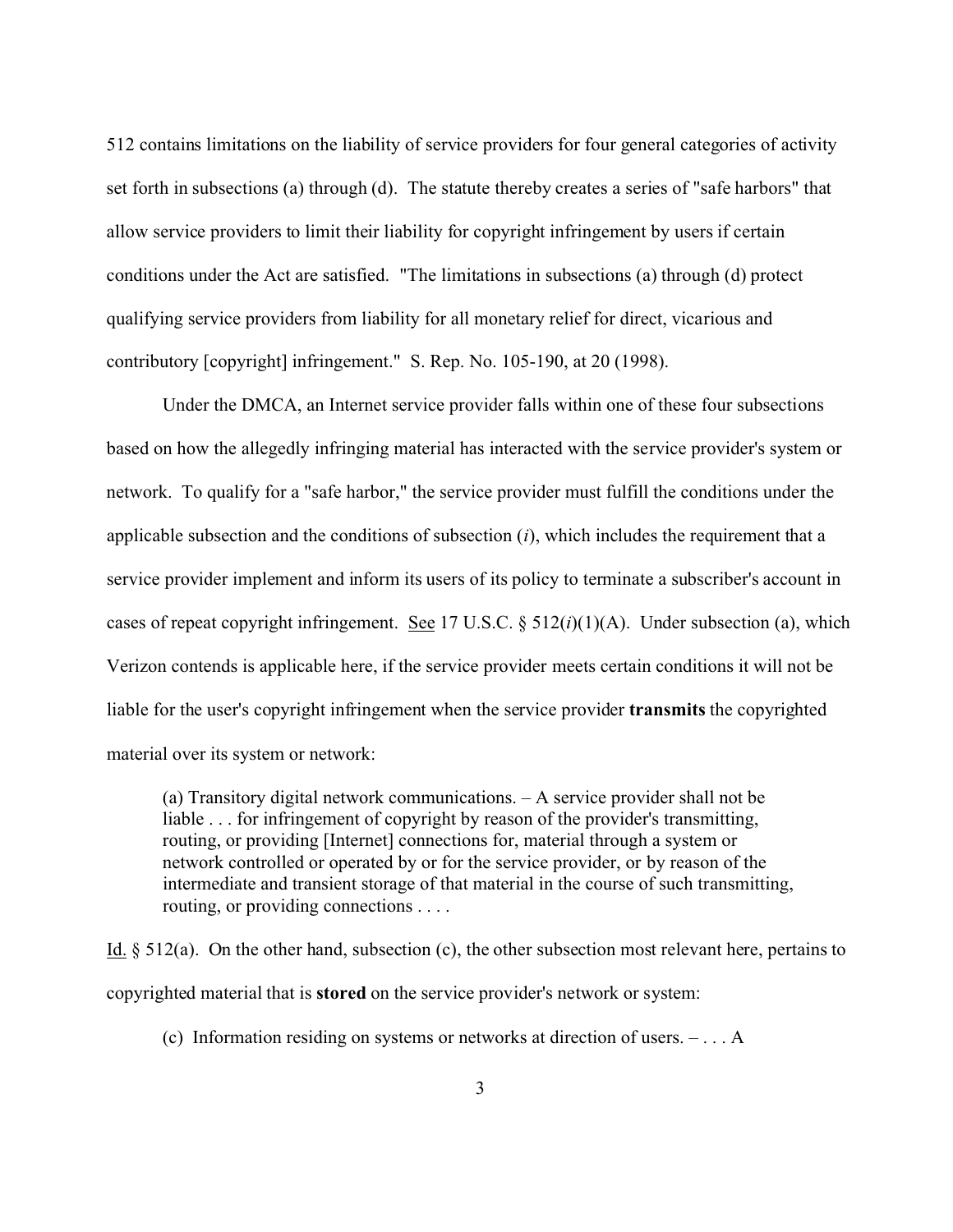512 contains limitations on the liability of service providers for four general categories of activity set forth in subsections (a) through (d). The statute thereby creates a series of "safe harbors" that allow service providers to limit their liability for copyright infringement by users if certain conditions under the Act are satisfied. "The limitations in subsections (a) through (d) protect qualifying service providers from liability for all monetary relief for direct, vicarious and contributory [copyright] infringement." S. Rep. No. 105-190, at 20 (1998).

Under the DMCA, an Internet service provider falls within one of these four subsections based on how the allegedly infringing material has interacted with the service provider's system or network. To qualify for a "safe harbor," the service provider must fulfill the conditions under the applicable subsection and the conditions of subsection (*i*), which includes the requirement that a service provider implement and inform its users of its policy to terminate a subscriber's account in cases of repeat copyright infringement. See 17 U.S.C. § 512(*i*)(1)(A). Under subsection (a), which Verizon contends is applicable here, if the service provider meets certain conditions it will not be liable for the user's copyright infringement when the service provider **transmits** the copyrighted material over its system or network:

(a) Transitory digital network communications. – A service provider shall not be liable . . . for infringement of copyright by reason of the provider's transmitting, routing, or providing [Internet] connections for, material through a system or network controlled or operated by or for the service provider, or by reason of the intermediate and transient storage of that material in the course of such transmitting, routing, or providing connections . . . .

Id. § 512(a). On the other hand, subsection (c), the other subsection most relevant here, pertains to copyrighted material that is **stored** on the service provider's network or system:

(c) Information residing on systems or networks at direction of users. – . . . A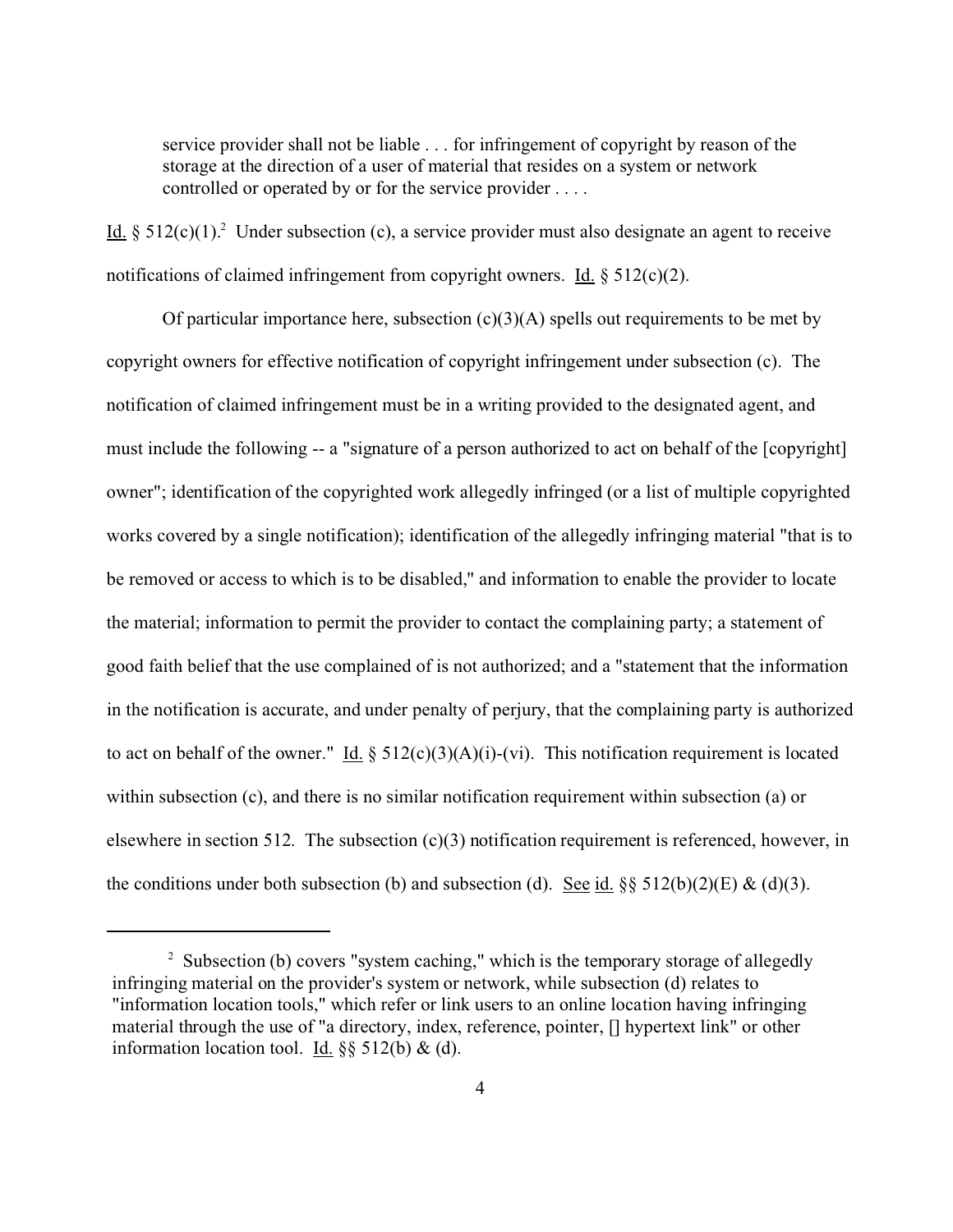service provider shall not be liable . . . for infringement of copyright by reason of the storage at the direction of a user of material that resides on a system or network controlled or operated by or for the service provider . . . .

Id. § 512(c)(1).<sup>2</sup> Under subsection (c), a service provider must also designate an agent to receive notifications of claimed infringement from copyright owners. Id.  $\S$  512(c)(2).

Of particular importance here, subsection  $(c)(3)(A)$  spells out requirements to be met by copyright owners for effective notification of copyright infringement under subsection (c). The notification of claimed infringement must be in a writing provided to the designated agent, and must include the following -- a "signature of a person authorized to act on behalf of the [copyright] owner"; identification of the copyrighted work allegedly infringed (or a list of multiple copyrighted works covered by a single notification); identification of the allegedly infringing material "that is to be removed or access to which is to be disabled," and information to enable the provider to locate the material; information to permit the provider to contact the complaining party; a statement of good faith belief that the use complained of is not authorized; and a "statement that the information in the notification is accurate, and under penalty of perjury, that the complaining party is authorized to act on behalf of the owner." Id.  $\S 512(c)(3)(A)(i)-(vi)$ . This notification requirement is located within subsection (c), and there is no similar notification requirement within subsection (a) or elsewhere in section 512. The subsection (c)(3) notification requirement is referenced, however, in the conditions under both subsection (b) and subsection (d). <u>See id.</u> §§ 512(b)(2)(E) & (d)(3).

<sup>&</sup>lt;sup>2</sup> Subsection (b) covers "system caching," which is the temporary storage of allegedly infringing material on the provider's system or network, while subsection (d) relates to "information location tools," which refer or link users to an online location having infringing material through the use of "a directory, index, reference, pointer, [] hypertext link" or other information location tool. Id.  $\S$ § 512(b) & (d).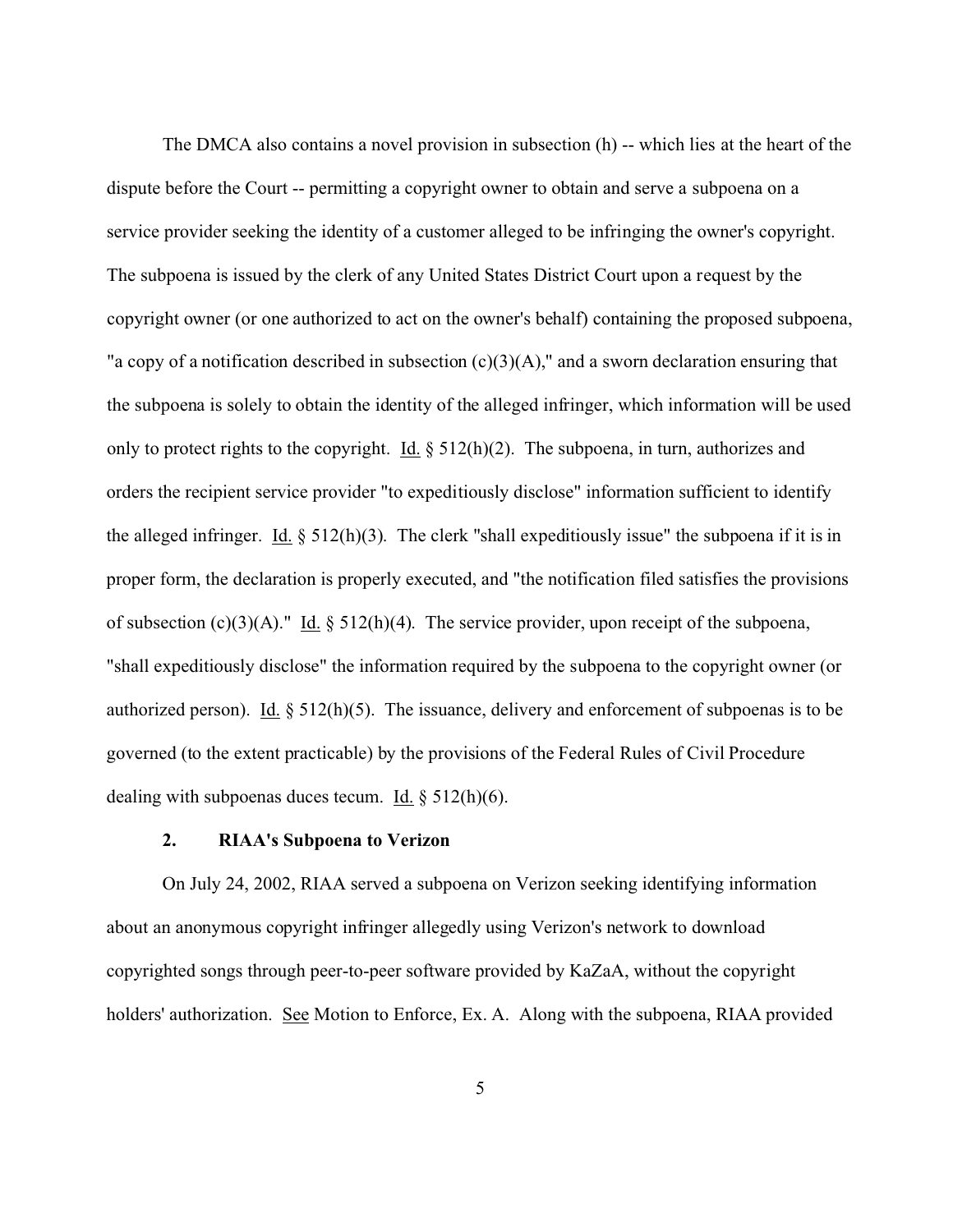The DMCA also contains a novel provision in subsection (h) -- which lies at the heart of the dispute before the Court -- permitting a copyright owner to obtain and serve a subpoena on a service provider seeking the identity of a customer alleged to be infringing the owner's copyright. The subpoena is issued by the clerk of any United States District Court upon a request by the copyright owner (or one authorized to act on the owner's behalf) containing the proposed subpoena, "a copy of a notification described in subsection  $(c)(3)(A)$ ," and a sworn declaration ensuring that the subpoena is solely to obtain the identity of the alleged infringer, which information will be used only to protect rights to the copyright. Id.  $\S$  512(h)(2). The subpoena, in turn, authorizes and orders the recipient service provider "to expeditiously disclose" information sufficient to identify the alleged infringer. Id.  $\S$  512(h)(3). The clerk "shall expeditiously issue" the subpoena if it is in proper form, the declaration is properly executed, and "the notification filed satisfies the provisions of subsection (c)(3)(A)." Id. § 512(h)(4). The service provider, upon receipt of the subpoena, "shall expeditiously disclose" the information required by the subpoena to the copyright owner (or authorized person). Id.  $\S$  512(h)(5). The issuance, delivery and enforcement of subpoenas is to be governed (to the extent practicable) by the provisions of the Federal Rules of Civil Procedure dealing with subpoenas duces tecum. Id.  $\S$  512(h)(6).

# **2. RIAA's Subpoena to Verizon**

On July 24, 2002, RIAA served a subpoena on Verizon seeking identifying information about an anonymous copyright infringer allegedly using Verizon's network to download copyrighted songs through peer-to-peer software provided by KaZaA, without the copyright holders' authorization. See Motion to Enforce, Ex. A. Along with the subpoena, RIAA provided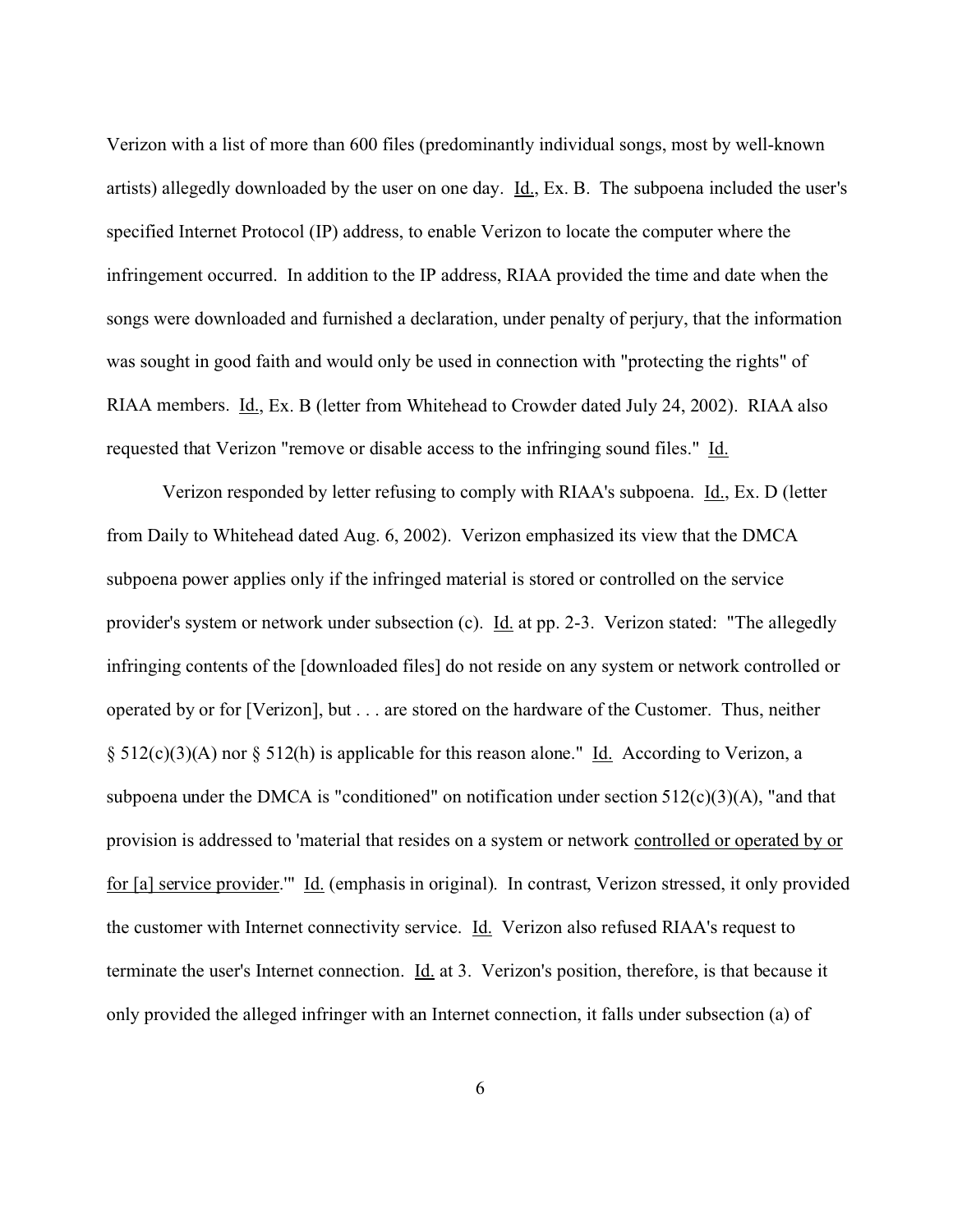Verizon with a list of more than 600 files (predominantly individual songs, most by well-known artists) allegedly downloaded by the user on one day. Id., Ex. B. The subpoena included the user's specified Internet Protocol (IP) address, to enable Verizon to locate the computer where the infringement occurred. In addition to the IP address, RIAA provided the time and date when the songs were downloaded and furnished a declaration, under penalty of perjury, that the information was sought in good faith and would only be used in connection with "protecting the rights" of RIAA members. Id., Ex. B (letter from Whitehead to Crowder dated July 24, 2002). RIAA also requested that Verizon "remove or disable access to the infringing sound files." Id.

Verizon responded by letter refusing to comply with RIAA's subpoena. Id., Ex. D (letter from Daily to Whitehead dated Aug. 6, 2002). Verizon emphasized its view that the DMCA subpoena power applies only if the infringed material is stored or controlled on the service provider's system or network under subsection (c). Id. at pp. 2-3. Verizon stated: "The allegedly infringing contents of the [downloaded files] do not reside on any system or network controlled or operated by or for [Verizon], but . . . are stored on the hardware of the Customer. Thus, neither § 512(c)(3)(A) nor § 512(h) is applicable for this reason alone." Id. According to Verizon, a subpoena under the DMCA is "conditioned" on notification under section  $512(c)(3)(A)$ , "and that provision is addressed to 'material that resides on a system or network controlled or operated by or for [a] service provider.'" Id. (emphasis in original). In contrast, Verizon stressed, it only provided the customer with Internet connectivity service. Id. Verizon also refused RIAA's request to terminate the user's Internet connection. Id. at 3. Verizon's position, therefore, is that because it only provided the alleged infringer with an Internet connection, it falls under subsection (a) of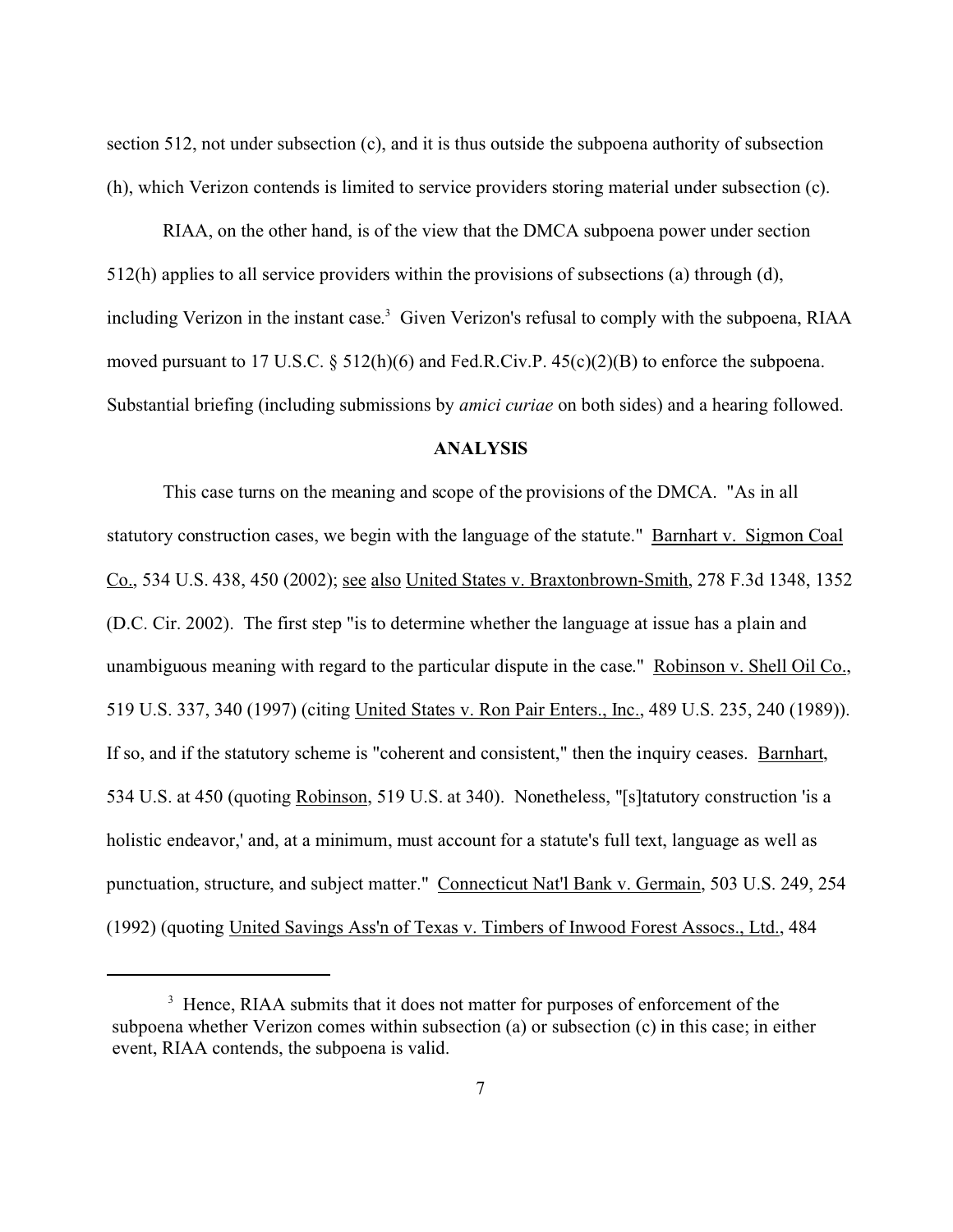section 512, not under subsection (c), and it is thus outside the subpoena authority of subsection (h), which Verizon contends is limited to service providers storing material under subsection (c).

RIAA, on the other hand, is of the view that the DMCA subpoena power under section 512(h) applies to all service providers within the provisions of subsections (a) through (d), including Verizon in the instant case.<sup>3</sup> Given Verizon's refusal to comply with the subpoena, RIAA moved pursuant to 17 U.S.C. § 512(h)(6) and Fed.R.Civ.P. 45(c)(2)(B) to enforce the subpoena. Substantial briefing (including submissions by *amici curiae* on both sides) and a hearing followed.

#### **ANALYSIS**

This case turns on the meaning and scope of the provisions of the DMCA. "As in all statutory construction cases, we begin with the language of the statute." Barnhart v. Sigmon Coal Co., 534 U.S. 438, 450 (2002); see also United States v. Braxtonbrown-Smith, 278 F.3d 1348, 1352 (D.C. Cir. 2002). The first step "is to determine whether the language at issue has a plain and unambiguous meaning with regard to the particular dispute in the case." Robinson v. Shell Oil Co., 519 U.S. 337, 340 (1997) (citing United States v. Ron Pair Enters., Inc., 489 U.S. 235, 240 (1989)). If so, and if the statutory scheme is "coherent and consistent," then the inquiry ceases. Barnhart, 534 U.S. at 450 (quoting Robinson, 519 U.S. at 340). Nonetheless, "[s]tatutory construction 'is a holistic endeavor,' and, at a minimum, must account for a statute's full text, language as well as punctuation, structure, and subject matter." Connecticut Nat'l Bank v. Germain, 503 U.S. 249, 254 (1992) (quoting United Savings Ass'n of Texas v. Timbers of Inwood Forest Assocs., Ltd., 484

<sup>&</sup>lt;sup>3</sup> Hence, RIAA submits that it does not matter for purposes of enforcement of the subpoena whether Verizon comes within subsection (a) or subsection (c) in this case; in either event, RIAA contends, the subpoena is valid.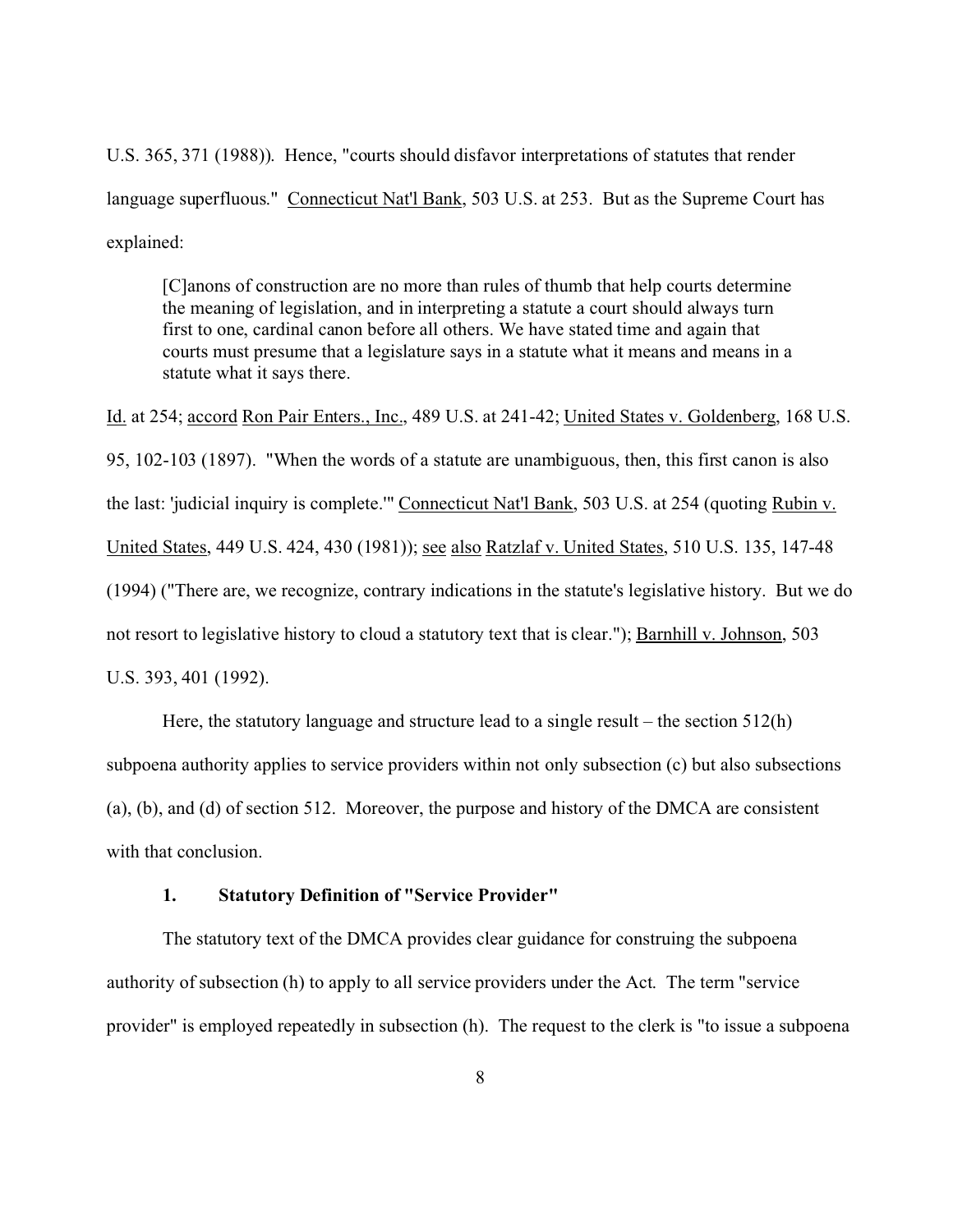U.S. 365, 371 (1988)). Hence, "courts should disfavor interpretations of statutes that render language superfluous." Connecticut Nat'l Bank, 503 U.S. at 253. But as the Supreme Court has explained:

[C]anons of construction are no more than rules of thumb that help courts determine the meaning of legislation, and in interpreting a statute a court should always turn first to one, cardinal canon before all others. We have stated time and again that courts must presume that a legislature says in a statute what it means and means in a statute what it says there.

Id. at 254; accord Ron Pair Enters., Inc., 489 U.S. at 241-42; United States v. Goldenberg, 168 U.S. 95, 102-103 (1897). "When the words of a statute are unambiguous, then, this first canon is also the last: 'judicial inquiry is complete.'" Connecticut Nat'l Bank, 503 U.S. at 254 (quoting Rubin v. United States, 449 U.S. 424, 430 (1981)); see also Ratzlaf v. United States, 510 U.S. 135, 147-48 (1994) ("There are, we recognize, contrary indications in the statute's legislative history. But we do not resort to legislative history to cloud a statutory text that is clear."); Barnhill v. Johnson, 503 U.S. 393, 401 (1992).

Here, the statutory language and structure lead to a single result – the section  $512(h)$ subpoena authority applies to service providers within not only subsection (c) but also subsections (a), (b), and (d) of section 512. Moreover, the purpose and history of the DMCA are consistent with that conclusion.

# **1. Statutory Definition of "Service Provider"**

The statutory text of the DMCA provides clear guidance for construing the subpoena authority of subsection (h) to apply to all service providers under the Act. The term "service provider" is employed repeatedly in subsection (h). The request to the clerk is "to issue a subpoena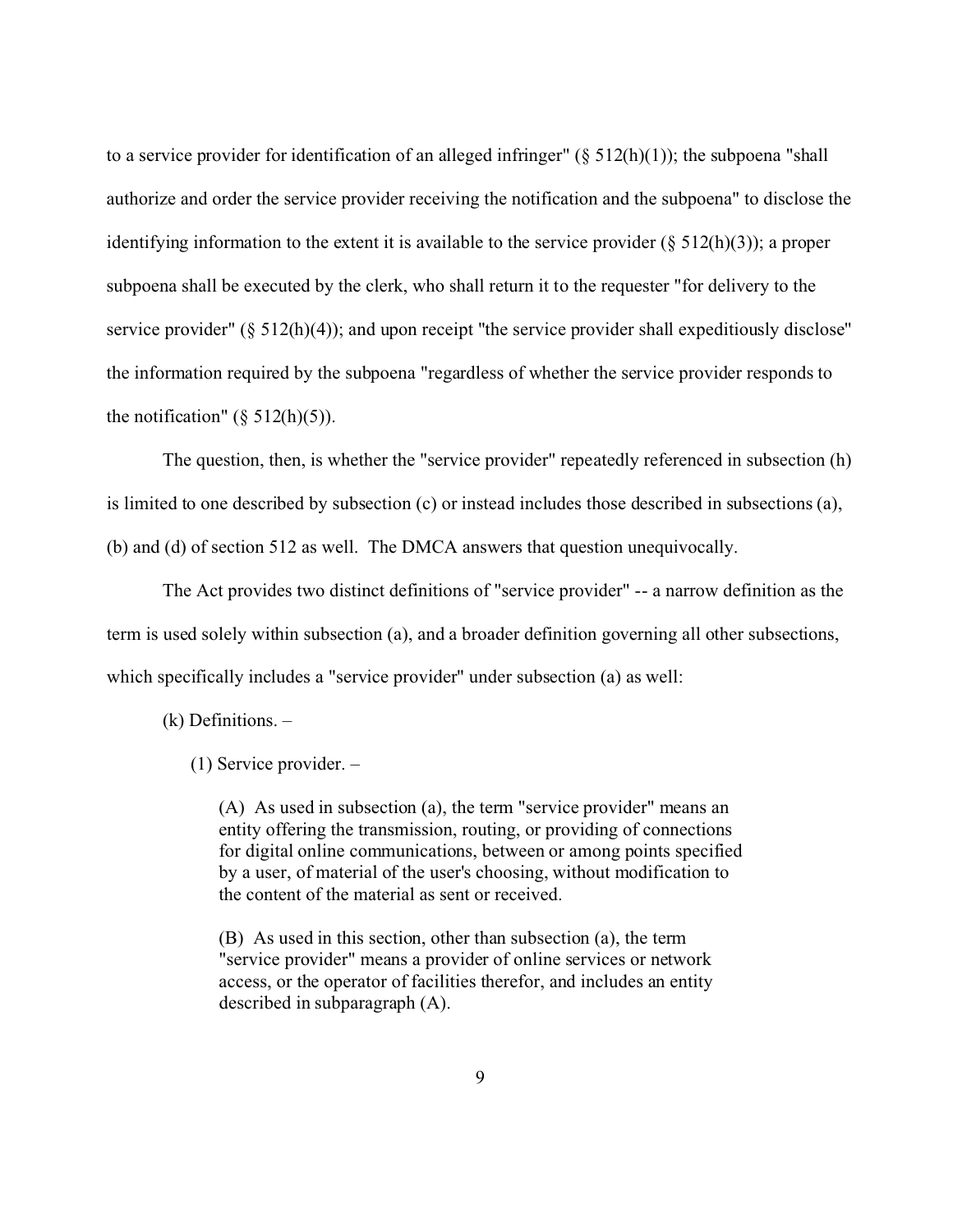to a service provider for identification of an alleged infringer"  $(\S 512(h)(1))$ ; the subpoena "shall authorize and order the service provider receiving the notification and the subpoena" to disclose the identifying information to the extent it is available to the service provider ( $\S 512(h)(3)$ ); a proper subpoena shall be executed by the clerk, who shall return it to the requester "for delivery to the service provider" (§ 512(h)(4)); and upon receipt "the service provider shall expeditiously disclose" the information required by the subpoena "regardless of whether the service provider responds to the notification" ( $\S$  512(h)(5)).

The question, then, is whether the "service provider" repeatedly referenced in subsection (h) is limited to one described by subsection (c) or instead includes those described in subsections (a), (b) and (d) of section 512 as well. The DMCA answers that question unequivocally.

The Act provides two distinct definitions of "service provider" -- a narrow definition as the term is used solely within subsection (a), and a broader definition governing all other subsections, which specifically includes a "service provider" under subsection (a) as well:

(k) Definitions. –

(1) Service provider. –

(A) As used in subsection (a), the term "service provider" means an entity offering the transmission, routing, or providing of connections for digital online communications, between or among points specified by a user, of material of the user's choosing, without modification to the content of the material as sent or received.

(B) As used in this section, other than subsection (a), the term "service provider" means a provider of online services or network access, or the operator of facilities therefor, and includes an entity described in subparagraph (A).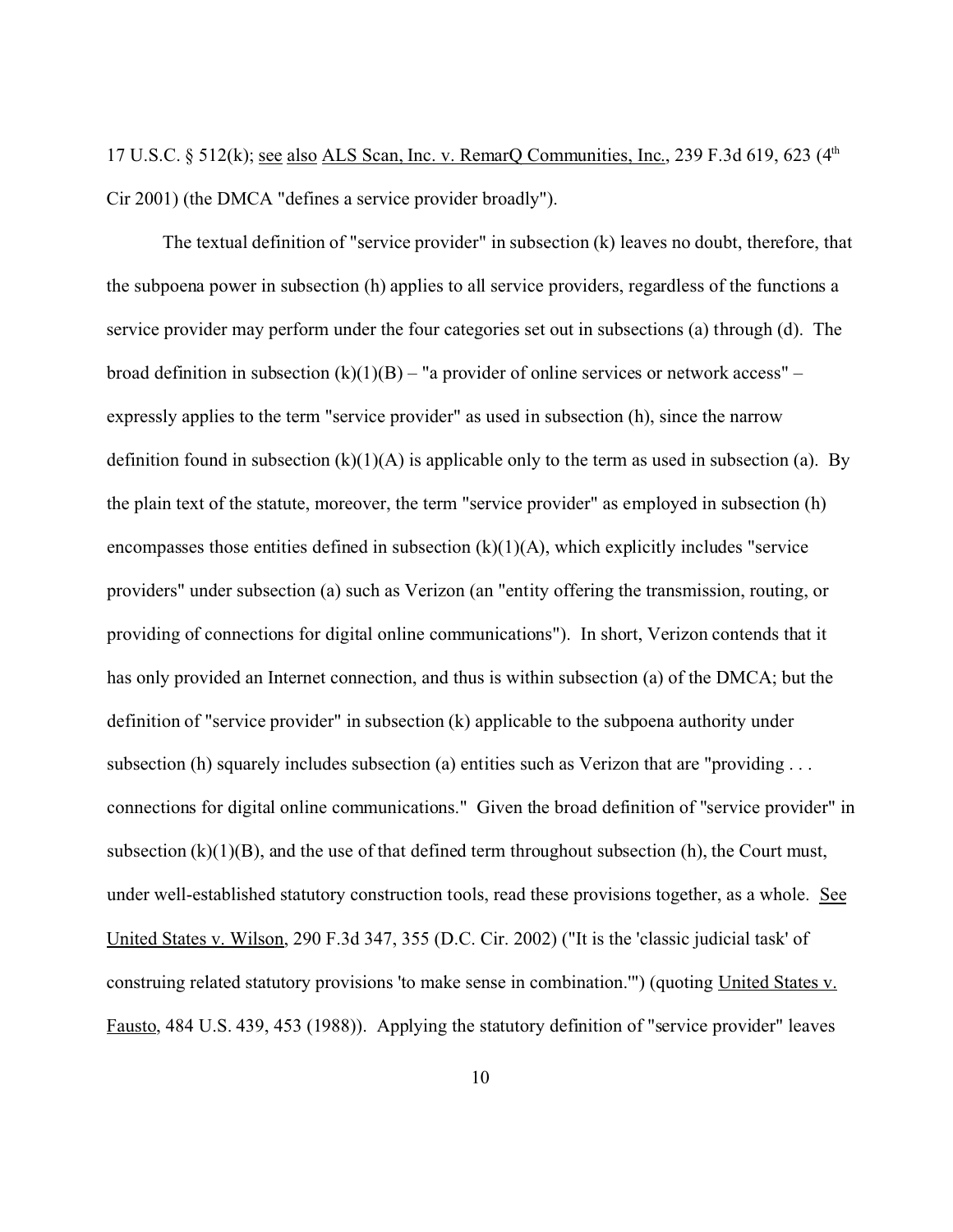# 17 U.S.C. § 512(k); see also ALS Scan, Inc. v. RemarQ Communities, Inc., 239 F.3d 619, 623 ( $4<sup>th</sup>$ Cir 2001) (the DMCA "defines a service provider broadly").

The textual definition of "service provider" in subsection (k) leaves no doubt, therefore, that the subpoena power in subsection (h) applies to all service providers, regardless of the functions a service provider may perform under the four categories set out in subsections (a) through (d). The broad definition in subsection  $(k)(1)(B)$  – "a provider of online services or network access" – expressly applies to the term "service provider" as used in subsection (h), since the narrow definition found in subsection  $(k)(1)(A)$  is applicable only to the term as used in subsection (a). By the plain text of the statute, moreover, the term "service provider" as employed in subsection (h) encompasses those entities defined in subsection  $(k)(1)(A)$ , which explicitly includes "service providers" under subsection (a) such as Verizon (an "entity offering the transmission, routing, or providing of connections for digital online communications"). In short, Verizon contends that it has only provided an Internet connection, and thus is within subsection (a) of the DMCA; but the definition of "service provider" in subsection (k) applicable to the subpoena authority under subsection (h) squarely includes subsection (a) entities such as Verizon that are "providing . . . connections for digital online communications." Given the broad definition of "service provider" in subsection  $(k)(1)(B)$ , and the use of that defined term throughout subsection  $(h)$ , the Court must, under well-established statutory construction tools, read these provisions together, as a whole. See United States v. Wilson, 290 F.3d 347, 355 (D.C. Cir. 2002) ("It is the 'classic judicial task' of construing related statutory provisions 'to make sense in combination.'") (quoting United States v. Fausto, 484 U.S. 439, 453 (1988)). Applying the statutory definition of "service provider" leaves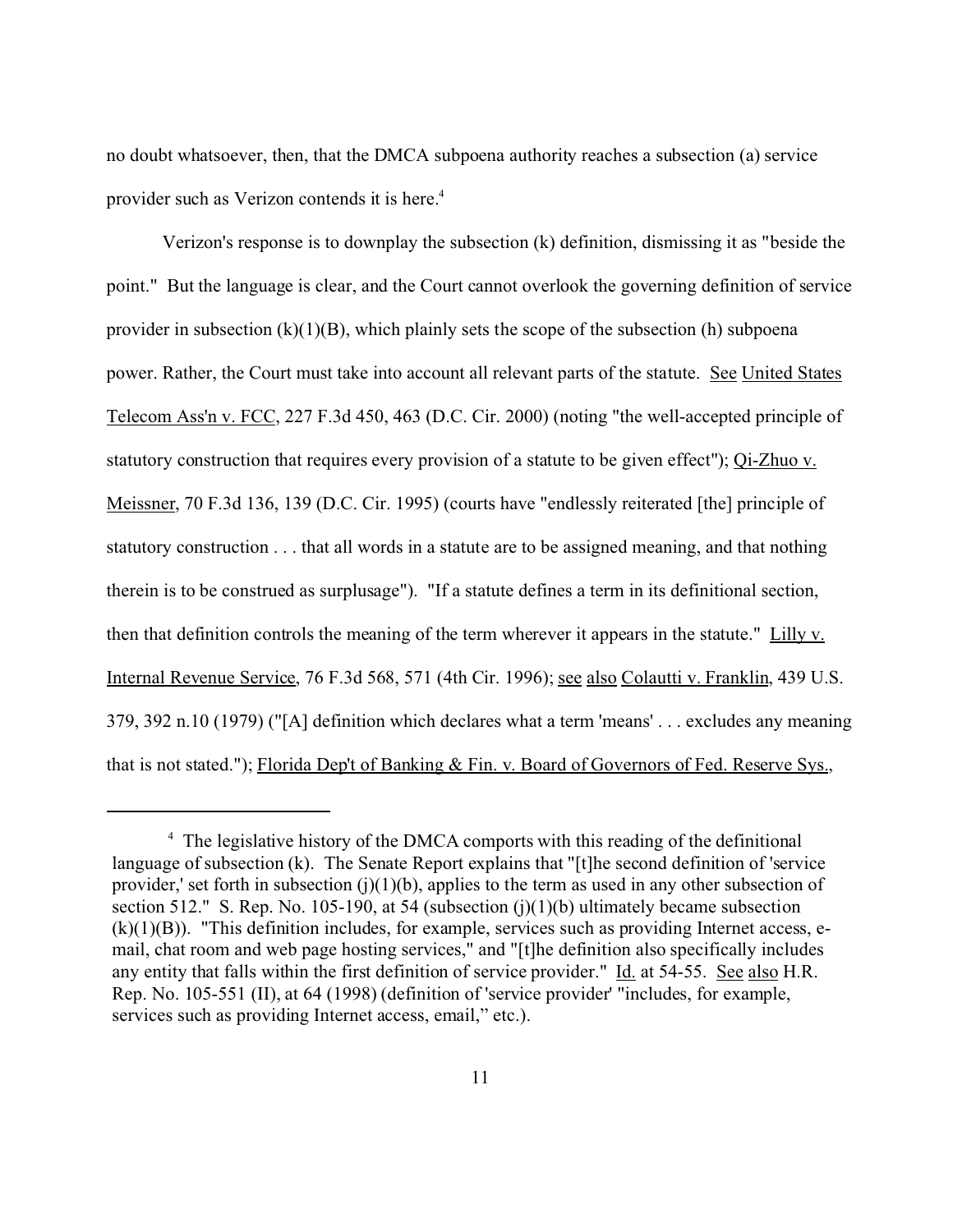no doubt whatsoever, then, that the DMCA subpoena authority reaches a subsection (a) service provider such as Verizon contends it is here.<sup>4</sup>

Verizon's response is to downplay the subsection (k) definition, dismissing it as "beside the point." But the language is clear, and the Court cannot overlook the governing definition of service provider in subsection  $(k)(1)(B)$ , which plainly sets the scope of the subsection (h) subpoena power. Rather, the Court must take into account all relevant parts of the statute. See United States Telecom Ass'n v. FCC, 227 F.3d 450, 463 (D.C. Cir. 2000) (noting "the well-accepted principle of statutory construction that requires every provision of a statute to be given effect"); *Qi-Zhuo v.* Meissner, 70 F.3d 136, 139 (D.C. Cir. 1995) (courts have "endlessly reiterated [the] principle of statutory construction . . . that all words in a statute are to be assigned meaning, and that nothing therein is to be construed as surplusage"). "If a statute defines a term in its definitional section, then that definition controls the meaning of the term wherever it appears in the statute." Lilly v. Internal Revenue Service, 76 F.3d 568, 571 (4th Cir. 1996); see also Colautti v. Franklin, 439 U.S. 379, 392 n.10 (1979) ("[A] definition which declares what a term 'means' . . . excludes any meaning that is not stated."); Florida Dep't of Banking & Fin. v. Board of Governors of Fed. Reserve Sys.,

<sup>&</sup>lt;sup>4</sup> The legislative history of the DMCA comports with this reading of the definitional language of subsection (k). The Senate Report explains that "[t]he second definition of 'service provider,' set forth in subsection  $(j)(1)(b)$ , applies to the term as used in any other subsection of section 512." S. Rep. No. 105-190, at 54 (subsection  $(j)(1)(b)$  ultimately became subsection  $(k)(1)(B)$ ). "This definition includes, for example, services such as providing Internet access, email, chat room and web page hosting services," and "[t]he definition also specifically includes any entity that falls within the first definition of service provider." Id. at 54-55. See also H.R. Rep. No. 105-551 (II), at 64 (1998) (definition of 'service provider' "includes, for example, services such as providing Internet access, email," etc.).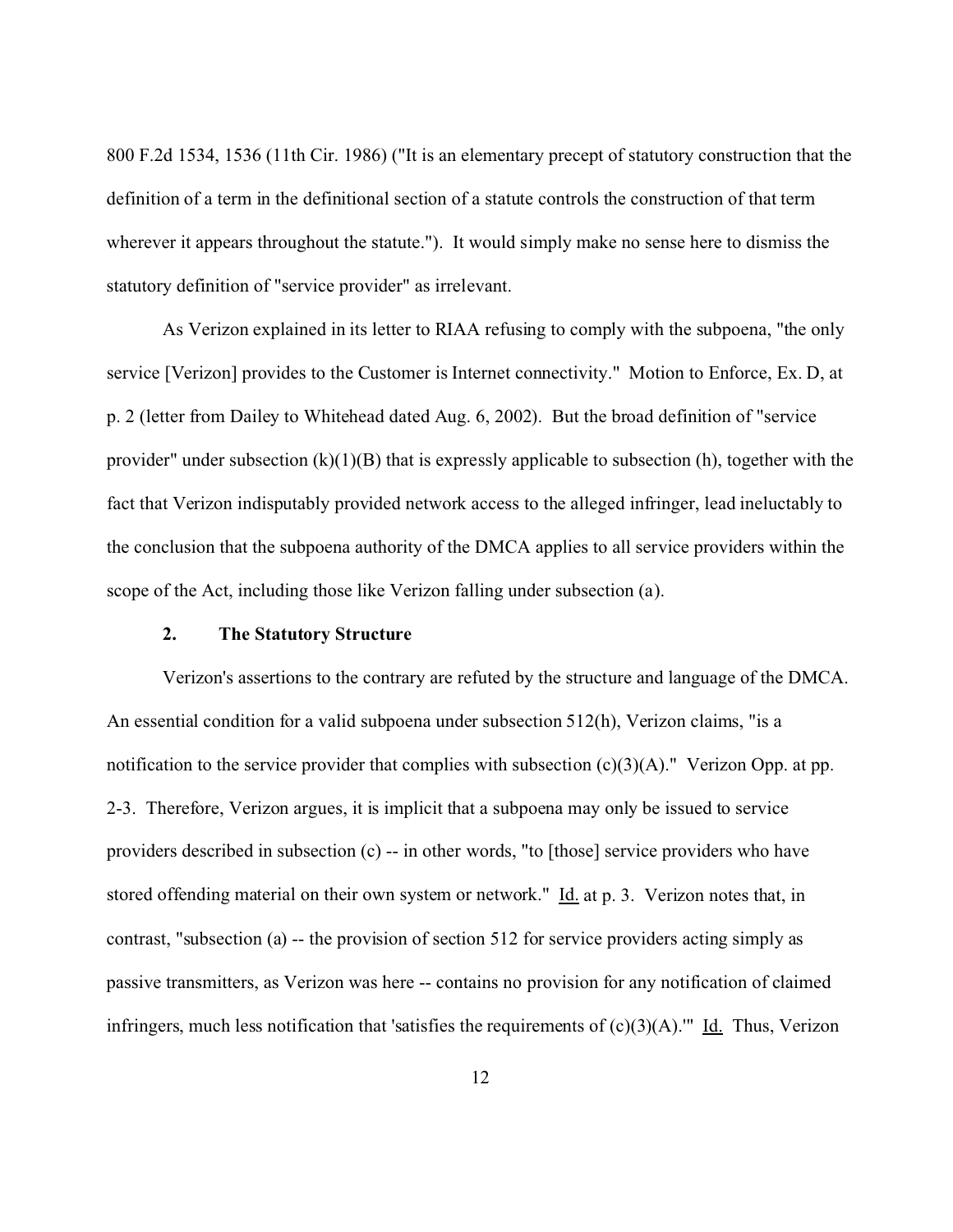800 F.2d 1534, 1536 (11th Cir. 1986) ("It is an elementary precept of statutory construction that the definition of a term in the definitional section of a statute controls the construction of that term wherever it appears throughout the statute."). It would simply make no sense here to dismiss the statutory definition of "service provider" as irrelevant.

As Verizon explained in its letter to RIAA refusing to comply with the subpoena, "the only service [Verizon] provides to the Customer is Internet connectivity." Motion to Enforce, Ex. D, at p. 2 (letter from Dailey to Whitehead dated Aug. 6, 2002). But the broad definition of "service provider" under subsection  $(k)(1)(B)$  that is expressly applicable to subsection (h), together with the fact that Verizon indisputably provided network access to the alleged infringer, lead ineluctably to the conclusion that the subpoena authority of the DMCA applies to all service providers within the scope of the Act, including those like Verizon falling under subsection (a).

## **2. The Statutory Structure**

Verizon's assertions to the contrary are refuted by the structure and language of the DMCA. An essential condition for a valid subpoena under subsection 512(h), Verizon claims, "is a notification to the service provider that complies with subsection  $(c)(3)(A)$ ." Verizon Opp. at pp. 2-3. Therefore, Verizon argues, it is implicit that a subpoena may only be issued to service providers described in subsection (c) -- in other words, "to [those] service providers who have stored offending material on their own system or network." Id. at p. 3. Verizon notes that, in contrast, "subsection (a) -- the provision of section 512 for service providers acting simply as passive transmitters, as Verizon was here -- contains no provision for any notification of claimed infringers, much less notification that 'satisfies the requirements of (c)(3)(A).'" Id. Thus, Verizon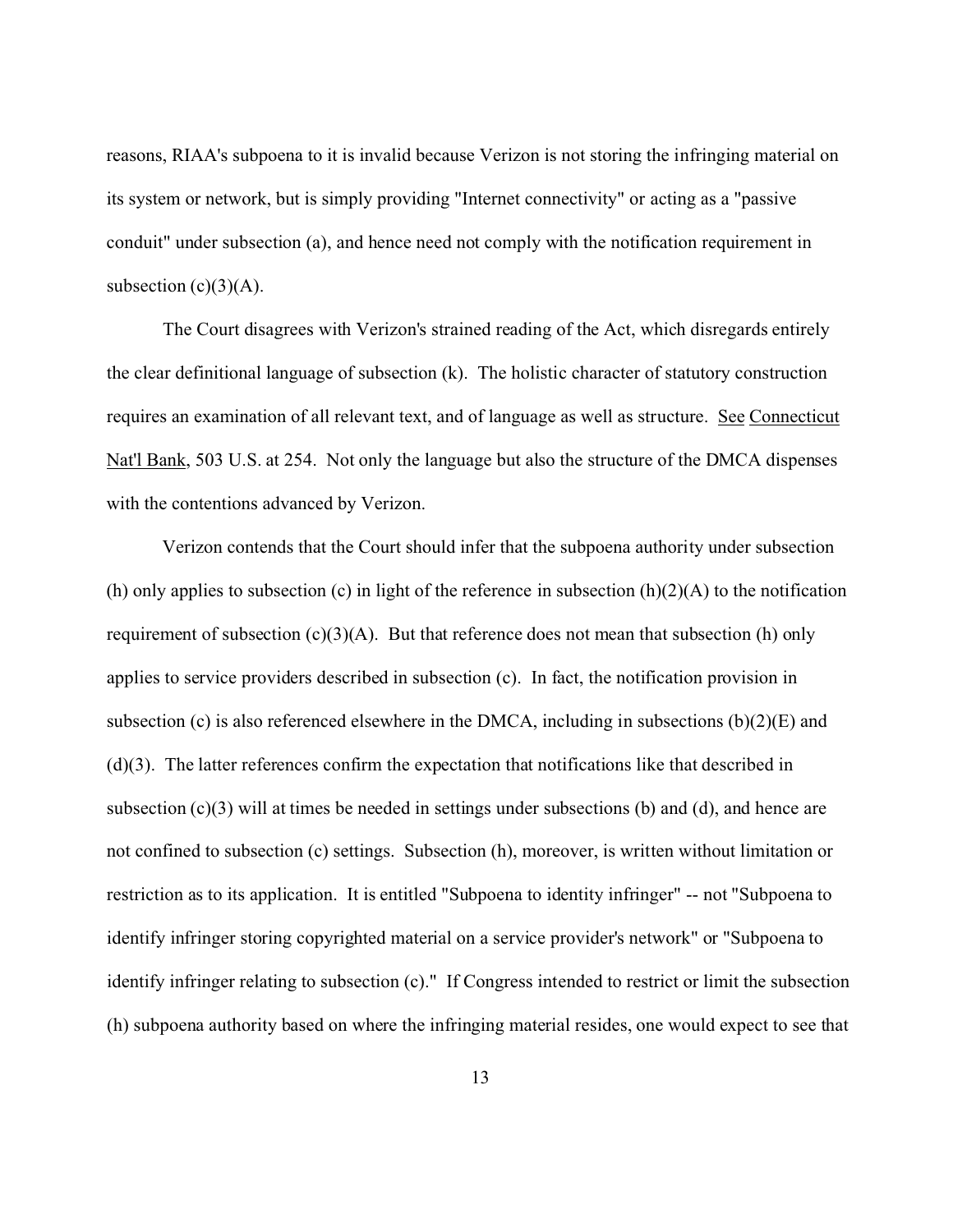reasons, RIAA's subpoena to it is invalid because Verizon is not storing the infringing material on its system or network, but is simply providing "Internet connectivity" or acting as a "passive conduit" under subsection (a), and hence need not comply with the notification requirement in subsection  $(c)(3)(A)$ .

The Court disagrees with Verizon's strained reading of the Act, which disregards entirely the clear definitional language of subsection (k). The holistic character of statutory construction requires an examination of all relevant text, and of language as well as structure. See Connecticut Nat'l Bank, 503 U.S. at 254. Not only the language but also the structure of the DMCA dispenses with the contentions advanced by Verizon.

Verizon contends that the Court should infer that the subpoena authority under subsection (h) only applies to subsection (c) in light of the reference in subsection  $(h)(2)(A)$  to the notification requirement of subsection  $(c)(3)(A)$ . But that reference does not mean that subsection (h) only applies to service providers described in subsection (c). In fact, the notification provision in subsection (c) is also referenced elsewhere in the DMCA, including in subsections (b)(2)(E) and (d)(3). The latter references confirm the expectation that notifications like that described in subsection  $(c)(3)$  will at times be needed in settings under subsections (b) and (d), and hence are not confined to subsection (c) settings. Subsection (h), moreover, is written without limitation or restriction as to its application. It is entitled "Subpoena to identity infringer" -- not "Subpoena to identify infringer storing copyrighted material on a service provider's network" or "Subpoena to identify infringer relating to subsection (c)." If Congress intended to restrict or limit the subsection (h) subpoena authority based on where the infringing material resides, one would expect to see that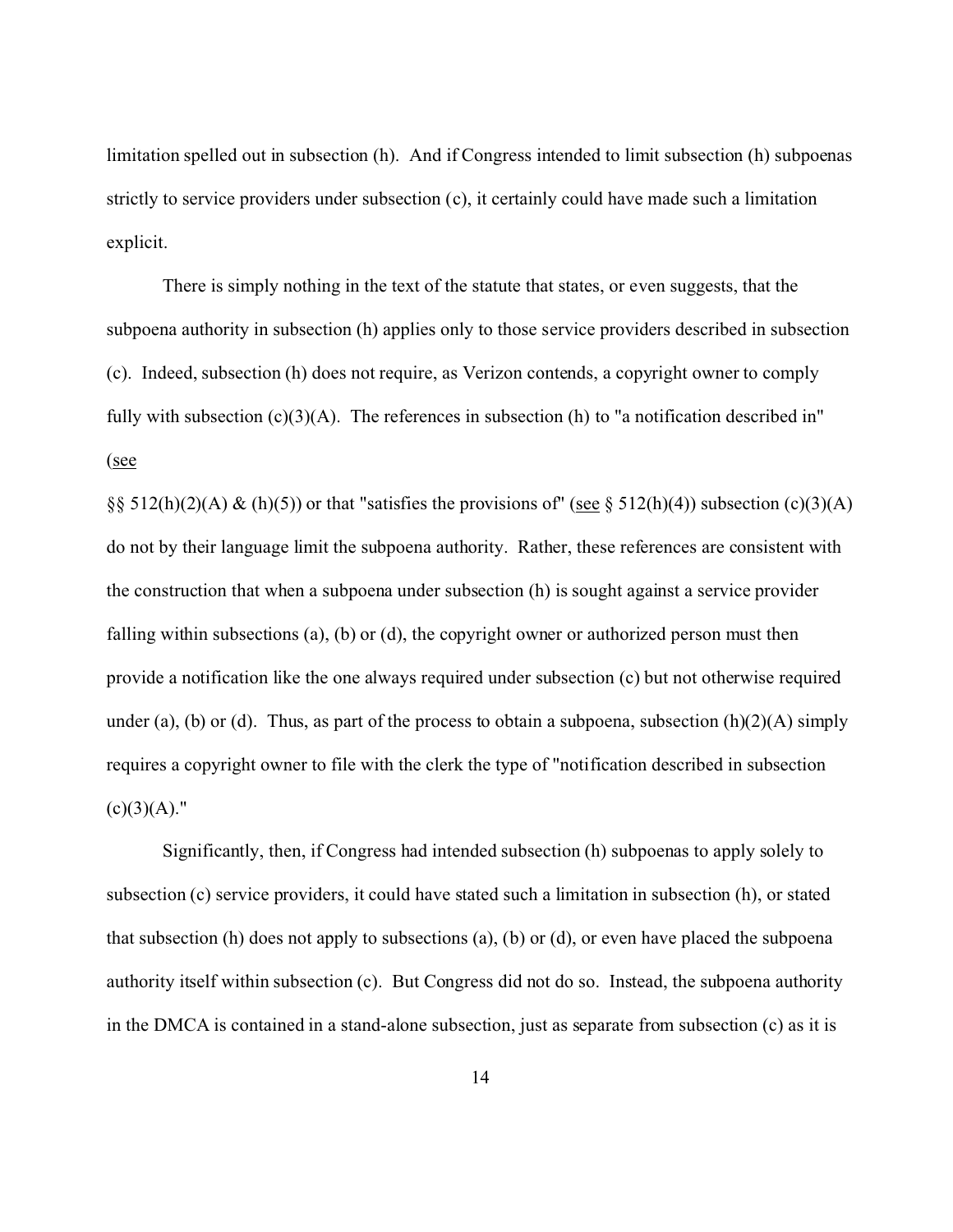limitation spelled out in subsection (h). And if Congress intended to limit subsection (h) subpoenas strictly to service providers under subsection (c), it certainly could have made such a limitation explicit.

There is simply nothing in the text of the statute that states, or even suggests, that the subpoena authority in subsection (h) applies only to those service providers described in subsection (c). Indeed, subsection (h) does not require, as Verizon contends, a copyright owner to comply fully with subsection  $(c)(3)(A)$ . The references in subsection (h) to "a notification described in" (see

§§ 512(h)(2)(A) & (h)(5)) or that "satisfies the provisions of" (see § 512(h)(4)) subsection (c)(3)(A) do not by their language limit the subpoena authority. Rather, these references are consistent with the construction that when a subpoena under subsection (h) is sought against a service provider falling within subsections (a), (b) or (d), the copyright owner or authorized person must then provide a notification like the one always required under subsection (c) but not otherwise required under (a), (b) or (d). Thus, as part of the process to obtain a subpoena, subsection  $(h)(2)(A)$  simply requires a copyright owner to file with the clerk the type of "notification described in subsection  $(c)(3)(A)."$ 

Significantly, then, if Congress had intended subsection (h) subpoenas to apply solely to subsection (c) service providers, it could have stated such a limitation in subsection (h), or stated that subsection (h) does not apply to subsections (a), (b) or (d), or even have placed the subpoena authority itself within subsection (c). But Congress did not do so. Instead, the subpoena authority in the DMCA is contained in a stand-alone subsection, just as separate from subsection (c) as it is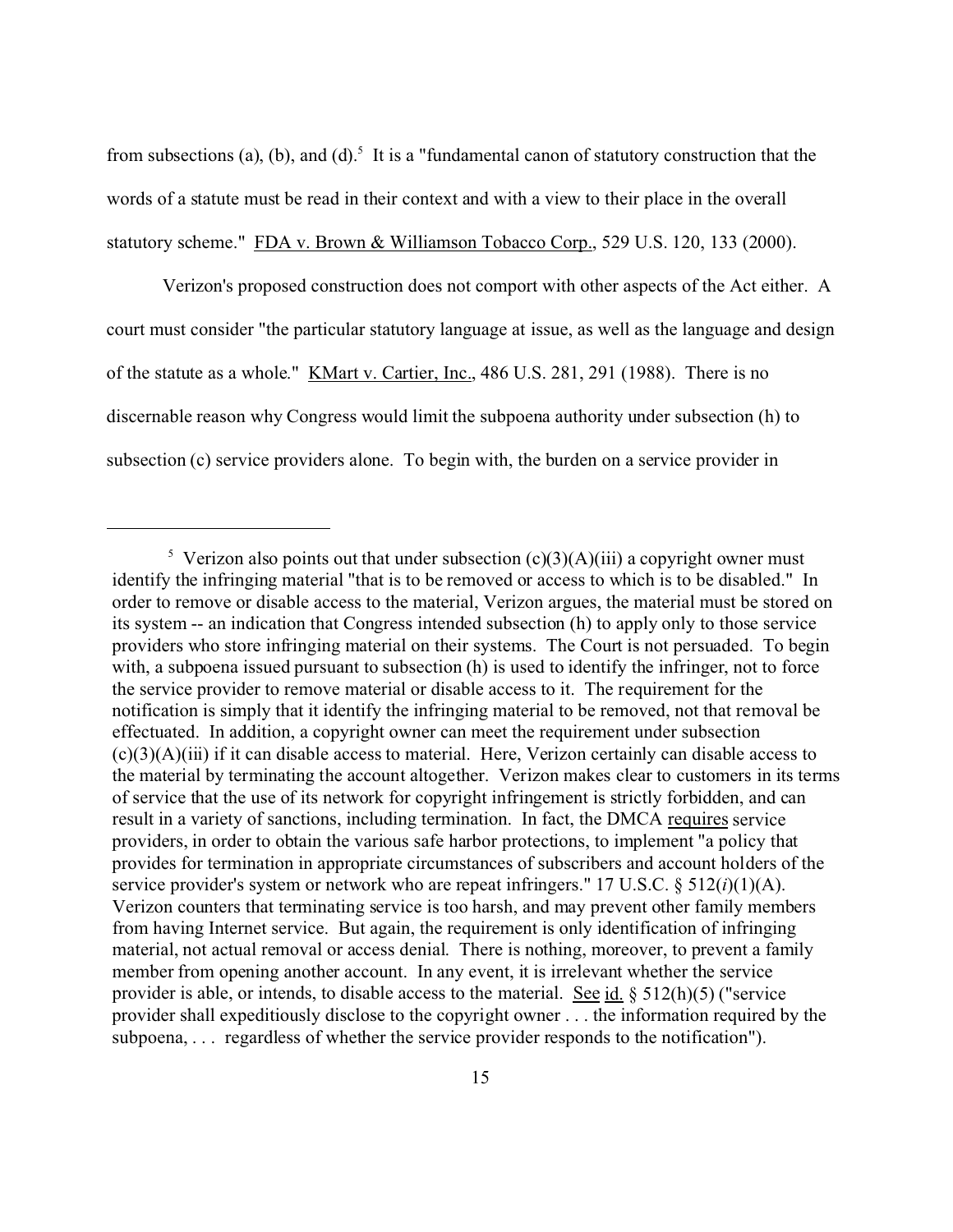from subsections (a), (b), and (d).<sup>5</sup> It is a "fundamental canon of statutory construction that the words of a statute must be read in their context and with a view to their place in the overall statutory scheme." FDA v. Brown & Williamson Tobacco Corp., 529 U.S. 120, 133 (2000).

Verizon's proposed construction does not comport with other aspects of the Act either. A court must consider "the particular statutory language at issue, as well as the language and design of the statute as a whole." KMart v. Cartier, Inc., 486 U.S. 281, 291 (1988). There is no discernable reason why Congress would limit the subpoena authority under subsection (h) to subsection (c) service providers alone. To begin with, the burden on a service provider in

<sup>&</sup>lt;sup>5</sup> Verizon also points out that under subsection  $(c)(3)(A)(iii)$  a copyright owner must identify the infringing material "that is to be removed or access to which is to be disabled." In order to remove or disable access to the material, Verizon argues, the material must be stored on its system -- an indication that Congress intended subsection (h) to apply only to those service providers who store infringing material on their systems. The Court is not persuaded. To begin with, a subpoena issued pursuant to subsection (h) is used to identify the infringer, not to force the service provider to remove material or disable access to it. The requirement for the notification is simply that it identify the infringing material to be removed, not that removal be effectuated. In addition, a copyright owner can meet the requirement under subsection (c)(3)(A)(iii) if it can disable access to material. Here, Verizon certainly can disable access to the material by terminating the account altogether. Verizon makes clear to customers in its terms of service that the use of its network for copyright infringement is strictly forbidden, and can result in a variety of sanctions, including termination. In fact, the DMCA requires service providers, in order to obtain the various safe harbor protections, to implement "a policy that provides for termination in appropriate circumstances of subscribers and account holders of the service provider's system or network who are repeat infringers." 17 U.S.C. § 512(*i*)(1)(A). Verizon counters that terminating service is too harsh, and may prevent other family members from having Internet service. But again, the requirement is only identification of infringing material, not actual removal or access denial. There is nothing, moreover, to prevent a family member from opening another account. In any event, it is irrelevant whether the service provider is able, or intends, to disable access to the material. See id. § 512(h)(5) ("service provider shall expeditiously disclose to the copyright owner . . . the information required by the subpoena, . . . regardless of whether the service provider responds to the notification").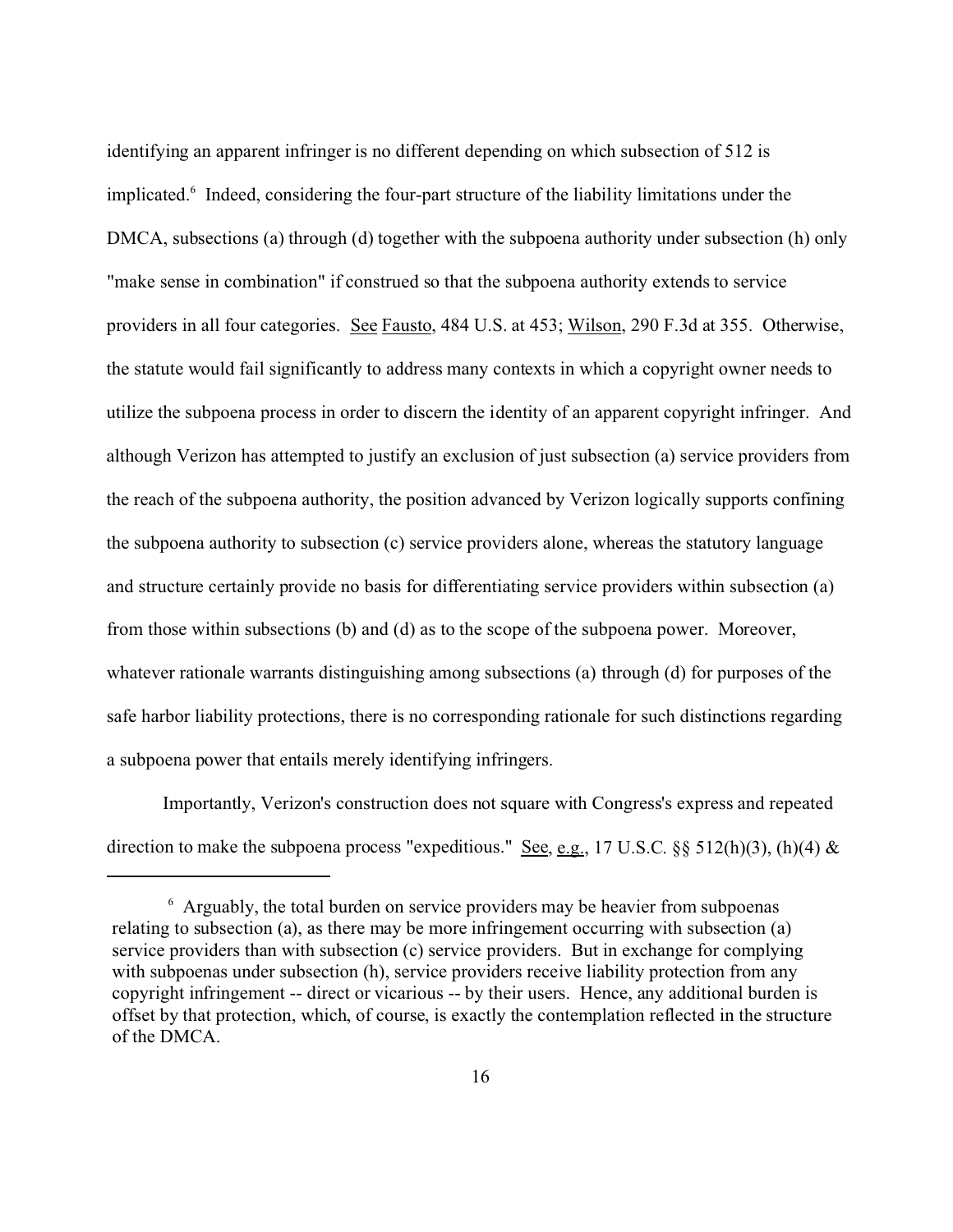identifying an apparent infringer is no different depending on which subsection of 512 is implicated.<sup>6</sup> Indeed, considering the four-part structure of the liability limitations under the DMCA, subsections (a) through (d) together with the subpoena authority under subsection (h) only "make sense in combination" if construed so that the subpoena authority extends to service providers in all four categories. See Fausto, 484 U.S. at 453; Wilson, 290 F.3d at 355. Otherwise, the statute would fail significantly to address many contexts in which a copyright owner needs to utilize the subpoena process in order to discern the identity of an apparent copyright infringer. And although Verizon has attempted to justify an exclusion of just subsection (a) service providers from the reach of the subpoena authority, the position advanced by Verizon logically supports confining the subpoena authority to subsection (c) service providers alone, whereas the statutory language and structure certainly provide no basis for differentiating service providers within subsection (a) from those within subsections (b) and (d) as to the scope of the subpoena power. Moreover, whatever rationale warrants distinguishing among subsections (a) through (d) for purposes of the safe harbor liability protections, there is no corresponding rationale for such distinctions regarding a subpoena power that entails merely identifying infringers.

Importantly, Verizon's construction does not square with Congress's express and repeated direction to make the subpoena process "expeditious." See, e.g., 17 U.S.C. §§ 512(h)(3), (h)(4)  $\&$ 

<sup>&</sup>lt;sup>6</sup> Arguably, the total burden on service providers may be heavier from subpoenas relating to subsection (a), as there may be more infringement occurring with subsection (a) service providers than with subsection (c) service providers. But in exchange for complying with subpoenas under subsection (h), service providers receive liability protection from any copyright infringement -- direct or vicarious -- by their users. Hence, any additional burden is offset by that protection, which, of course, is exactly the contemplation reflected in the structure of the DMCA.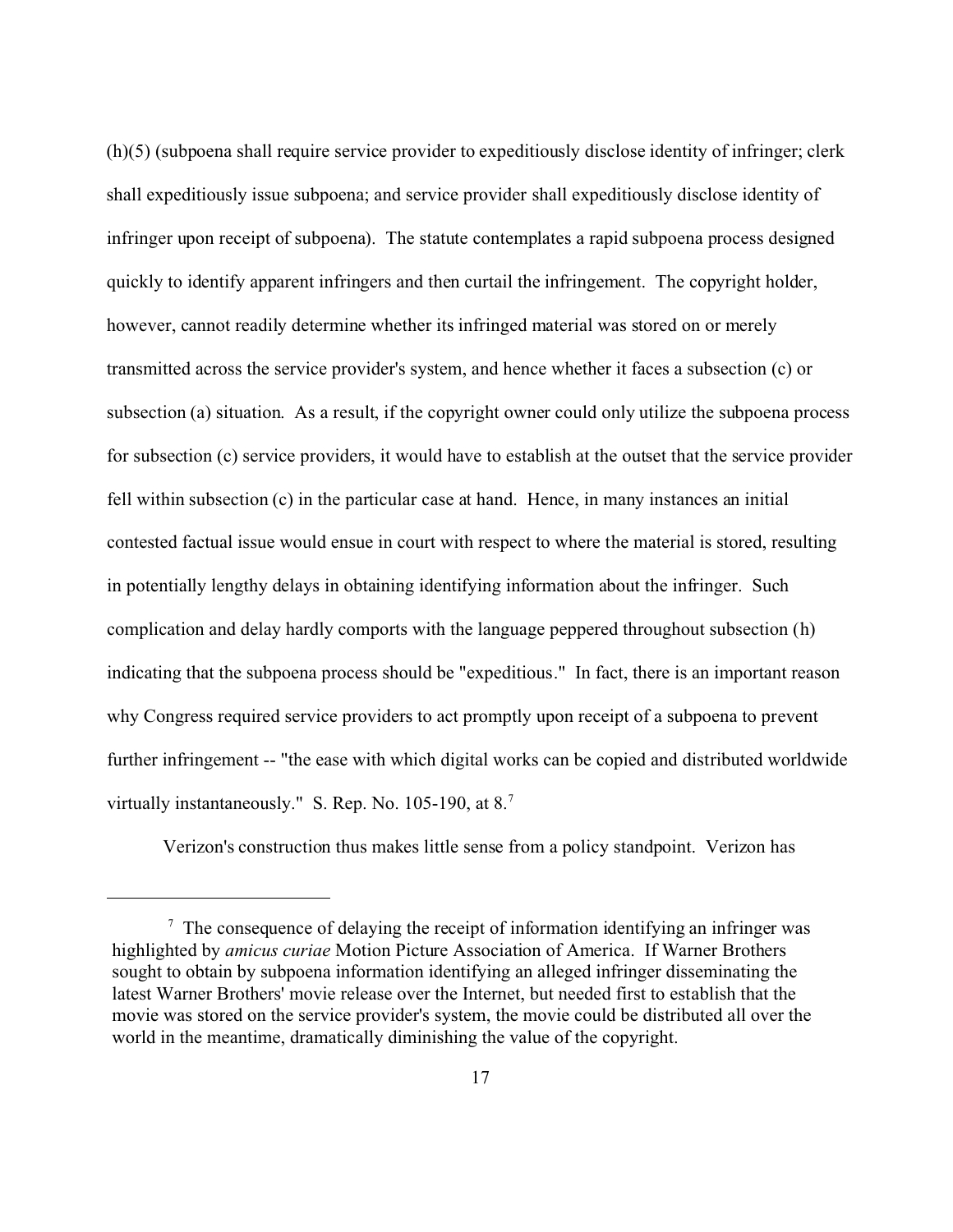(h)(5) (subpoena shall require service provider to expeditiously disclose identity of infringer; clerk shall expeditiously issue subpoena; and service provider shall expeditiously disclose identity of infringer upon receipt of subpoena). The statute contemplates a rapid subpoena process designed quickly to identify apparent infringers and then curtail the infringement. The copyright holder, however, cannot readily determine whether its infringed material was stored on or merely transmitted across the service provider's system, and hence whether it faces a subsection (c) or subsection (a) situation. As a result, if the copyright owner could only utilize the subpoena process for subsection (c) service providers, it would have to establish at the outset that the service provider fell within subsection (c) in the particular case at hand. Hence, in many instances an initial contested factual issue would ensue in court with respect to where the material is stored, resulting in potentially lengthy delays in obtaining identifying information about the infringer. Such complication and delay hardly comports with the language peppered throughout subsection (h) indicating that the subpoena process should be "expeditious." In fact, there is an important reason why Congress required service providers to act promptly upon receipt of a subpoena to prevent further infringement -- "the ease with which digital works can be copied and distributed worldwide virtually instantaneously." S. Rep. No. 105-190, at 8.<sup>7</sup>

Verizon's construction thus makes little sense from a policy standpoint. Verizon has

 $\sigma$  The consequence of delaying the receipt of information identifying an infringer was highlighted by *amicus curiae* Motion Picture Association of America. If Warner Brothers sought to obtain by subpoena information identifying an alleged infringer disseminating the latest Warner Brothers' movie release over the Internet, but needed first to establish that the movie was stored on the service provider's system, the movie could be distributed all over the world in the meantime, dramatically diminishing the value of the copyright.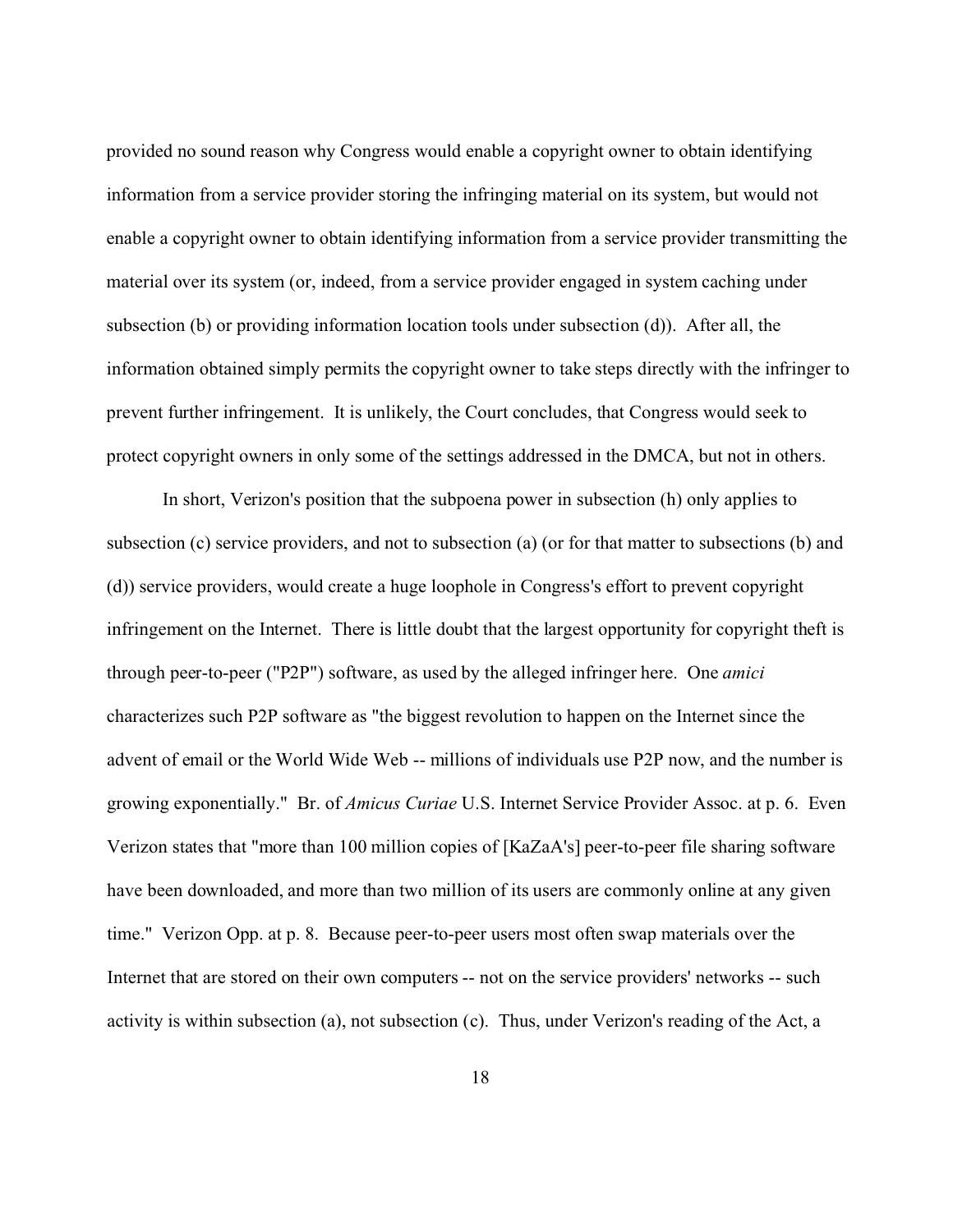provided no sound reason why Congress would enable a copyright owner to obtain identifying information from a service provider storing the infringing material on its system, but would not enable a copyright owner to obtain identifying information from a service provider transmitting the material over its system (or, indeed, from a service provider engaged in system caching under subsection (b) or providing information location tools under subsection (d)). After all, the information obtained simply permits the copyright owner to take steps directly with the infringer to prevent further infringement. It is unlikely, the Court concludes, that Congress would seek to protect copyright owners in only some of the settings addressed in the DMCA, but not in others.

In short, Verizon's position that the subpoena power in subsection (h) only applies to subsection (c) service providers, and not to subsection (a) (or for that matter to subsections (b) and (d)) service providers, would create a huge loophole in Congress's effort to prevent copyright infringement on the Internet. There is little doubt that the largest opportunity for copyright theft is through peer-to-peer ("P2P") software, as used by the alleged infringer here. One *amici* characterizes such P2P software as "the biggest revolution to happen on the Internet since the advent of email or the World Wide Web -- millions of individuals use P2P now, and the number is growing exponentially." Br. of *Amicus Curiae* U.S. Internet Service Provider Assoc. at p. 6. Even Verizon states that "more than 100 million copies of [KaZaA's] peer-to-peer file sharing software have been downloaded, and more than two million of its users are commonly online at any given time." Verizon Opp. at p. 8. Because peer-to-peer users most often swap materials over the Internet that are stored on their own computers -- not on the service providers' networks -- such activity is within subsection (a), not subsection (c). Thus, under Verizon's reading of the Act, a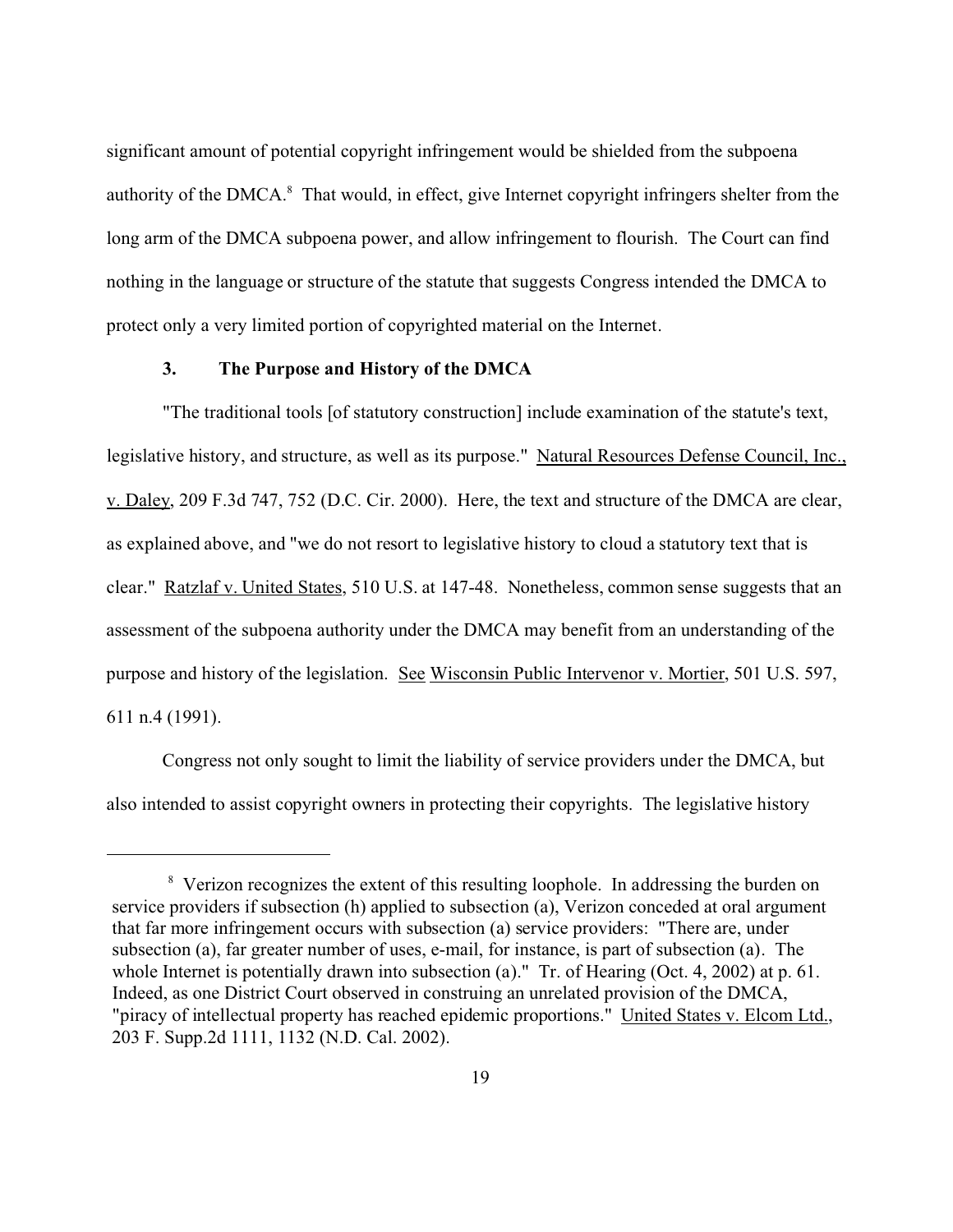significant amount of potential copyright infringement would be shielded from the subpoena authority of the DMCA.<sup>8</sup> That would, in effect, give Internet copyright infringers shelter from the long arm of the DMCA subpoena power, and allow infringement to flourish. The Court can find nothing in the language or structure of the statute that suggests Congress intended the DMCA to protect only a very limited portion of copyrighted material on the Internet.

# **3. The Purpose and History of the DMCA**

"The traditional tools [of statutory construction] include examination of the statute's text, legislative history, and structure, as well as its purpose." Natural Resources Defense Council, Inc., v. Daley, 209 F.3d 747, 752 (D.C. Cir. 2000). Here, the text and structure of the DMCA are clear, as explained above, and "we do not resort to legislative history to cloud a statutory text that is clear." Ratzlaf v. United States, 510 U.S. at 147-48. Nonetheless, common sense suggests that an assessment of the subpoena authority under the DMCA may benefit from an understanding of the purpose and history of the legislation. See Wisconsin Public Intervenor v. Mortier, 501 U.S. 597, 611 n.4 (1991).

Congress not only sought to limit the liability of service providers under the DMCA, but also intended to assist copyright owners in protecting their copyrights. The legislative history

<sup>&</sup>lt;sup>8</sup> Verizon recognizes the extent of this resulting loophole. In addressing the burden on service providers if subsection (h) applied to subsection (a), Verizon conceded at oral argument that far more infringement occurs with subsection (a) service providers: "There are, under subsection (a), far greater number of uses, e-mail, for instance, is part of subsection (a). The whole Internet is potentially drawn into subsection (a)." Tr. of Hearing (Oct. 4, 2002) at p. 61. Indeed, as one District Court observed in construing an unrelated provision of the DMCA, "piracy of intellectual property has reached epidemic proportions." United States v. Elcom Ltd., 203 F. Supp.2d 1111, 1132 (N.D. Cal. 2002).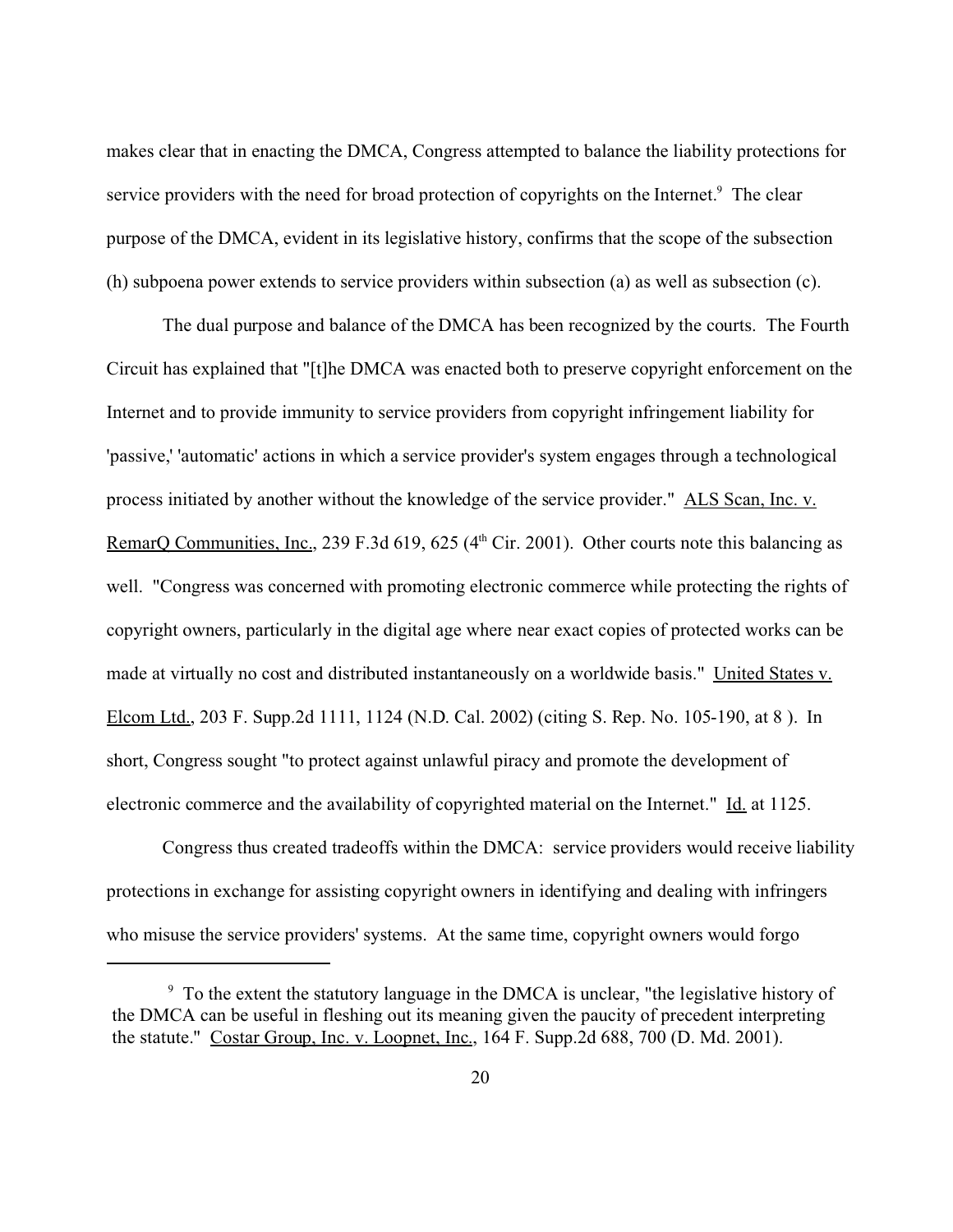makes clear that in enacting the DMCA, Congress attempted to balance the liability protections for service providers with the need for broad protection of copyrights on the Internet.<sup>9</sup> The clear purpose of the DMCA, evident in its legislative history, confirms that the scope of the subsection (h) subpoena power extends to service providers within subsection (a) as well as subsection (c).

The dual purpose and balance of the DMCA has been recognized by the courts. The Fourth Circuit has explained that "[t]he DMCA was enacted both to preserve copyright enforcement on the Internet and to provide immunity to service providers from copyright infringement liability for 'passive,' 'automatic' actions in which a service provider's system engages through a technological process initiated by another without the knowledge of the service provider." ALS Scan, Inc. v. RemarQ Communities, Inc., 239 F.3d 619, 625 (4<sup>th</sup> Cir. 2001). Other courts note this balancing as well. "Congress was concerned with promoting electronic commerce while protecting the rights of copyright owners, particularly in the digital age where near exact copies of protected works can be made at virtually no cost and distributed instantaneously on a worldwide basis." United States v. Elcom Ltd., 203 F. Supp.2d 1111, 1124 (N.D. Cal. 2002) (citing S. Rep. No. 105-190, at 8 ). In short, Congress sought "to protect against unlawful piracy and promote the development of electronic commerce and the availability of copyrighted material on the Internet." Id. at 1125.

Congress thus created tradeoffs within the DMCA: service providers would receive liability protections in exchange for assisting copyright owners in identifying and dealing with infringers who misuse the service providers' systems. At the same time, copyright owners would forgo

<sup>&</sup>lt;sup>9</sup> To the extent the statutory language in the DMCA is unclear, "the legislative history of the DMCA can be useful in fleshing out its meaning given the paucity of precedent interpreting the statute." Costar Group, Inc. v. Loopnet, Inc., 164 F. Supp.2d 688, 700 (D. Md. 2001).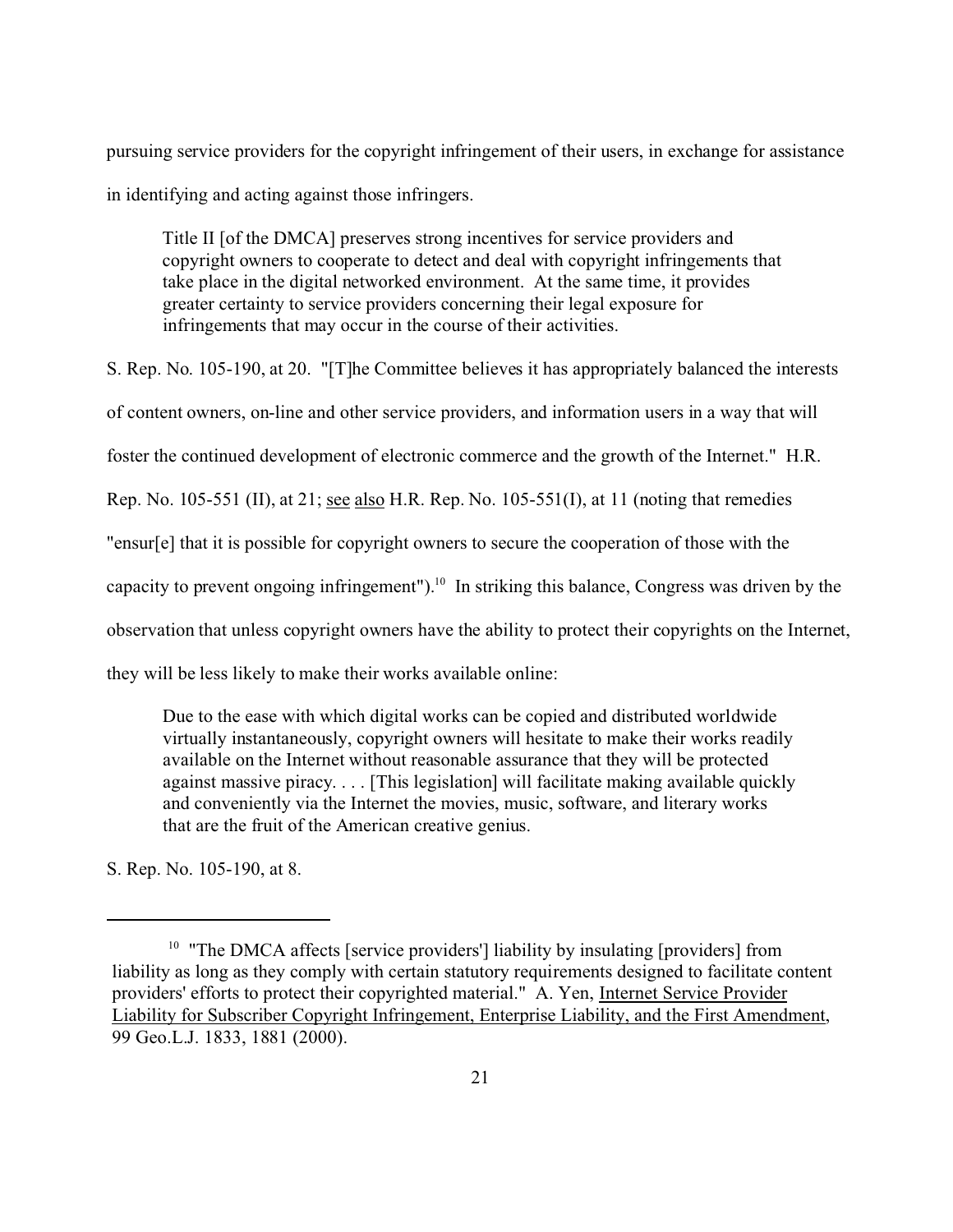pursuing service providers for the copyright infringement of their users, in exchange for assistance in identifying and acting against those infringers.

Title II [of the DMCA] preserves strong incentives for service providers and copyright owners to cooperate to detect and deal with copyright infringements that take place in the digital networked environment. At the same time, it provides greater certainty to service providers concerning their legal exposure for infringements that may occur in the course of their activities.

S. Rep. No. 105-190, at 20. "[T]he Committee believes it has appropriately balanced the interests of content owners, on-line and other service providers, and information users in a way that will foster the continued development of electronic commerce and the growth of the Internet." H.R. Rep. No. 105-551 (II), at 21; see also H.R. Rep. No. 105-551(I), at 11 (noting that remedies "ensur[e] that it is possible for copyright owners to secure the cooperation of those with the capacity to prevent ongoing infringement").<sup>10</sup> In striking this balance, Congress was driven by the observation that unless copyright owners have the ability to protect their copyrights on the Internet, they will be less likely to make their works available online:

Due to the ease with which digital works can be copied and distributed worldwide virtually instantaneously, copyright owners will hesitate to make their works readily available on the Internet without reasonable assurance that they will be protected against massive piracy. . . . [This legislation] will facilitate making available quickly and conveniently via the Internet the movies, music, software, and literary works that are the fruit of the American creative genius.

S. Rep. No. 105-190, at 8.

<sup>&</sup>lt;sup>10</sup> "The DMCA affects [service providers'] liability by insulating [providers] from liability as long as they comply with certain statutory requirements designed to facilitate content providers' efforts to protect their copyrighted material." A. Yen, Internet Service Provider Liability for Subscriber Copyright Infringement, Enterprise Liability, and the First Amendment, 99 Geo.L.J. 1833, 1881 (2000).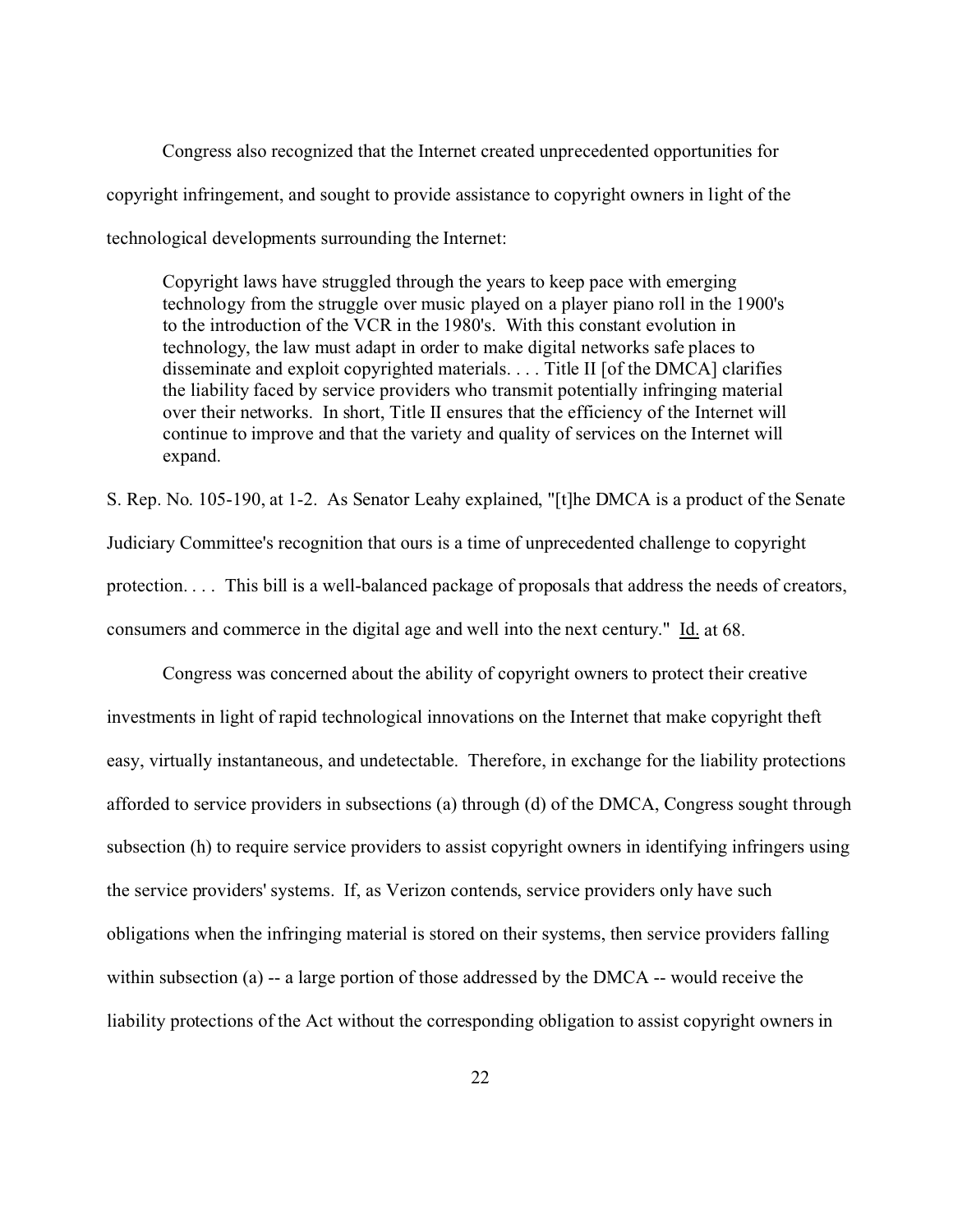Congress also recognized that the Internet created unprecedented opportunities for copyright infringement, and sought to provide assistance to copyright owners in light of the technological developments surrounding the Internet:

Copyright laws have struggled through the years to keep pace with emerging technology from the struggle over music played on a player piano roll in the 1900's to the introduction of the VCR in the 1980's. With this constant evolution in technology, the law must adapt in order to make digital networks safe places to disseminate and exploit copyrighted materials. . . . Title II [of the DMCA] clarifies the liability faced by service providers who transmit potentially infringing material over their networks. In short, Title II ensures that the efficiency of the Internet will continue to improve and that the variety and quality of services on the Internet will expand.

S. Rep. No. 105-190, at 1-2. As Senator Leahy explained, "[t]he DMCA is a product of the Senate Judiciary Committee's recognition that ours is a time of unprecedented challenge to copyright protection. . . . This bill is a well-balanced package of proposals that address the needs of creators, consumers and commerce in the digital age and well into the next century." Id. at 68.

Congress was concerned about the ability of copyright owners to protect their creative investments in light of rapid technological innovations on the Internet that make copyright theft easy, virtually instantaneous, and undetectable. Therefore, in exchange for the liability protections afforded to service providers in subsections (a) through (d) of the DMCA, Congress sought through subsection (h) to require service providers to assist copyright owners in identifying infringers using the service providers' systems. If, as Verizon contends, service providers only have such obligations when the infringing material is stored on their systems, then service providers falling within subsection (a) -- a large portion of those addressed by the DMCA -- would receive the liability protections of the Act without the corresponding obligation to assist copyright owners in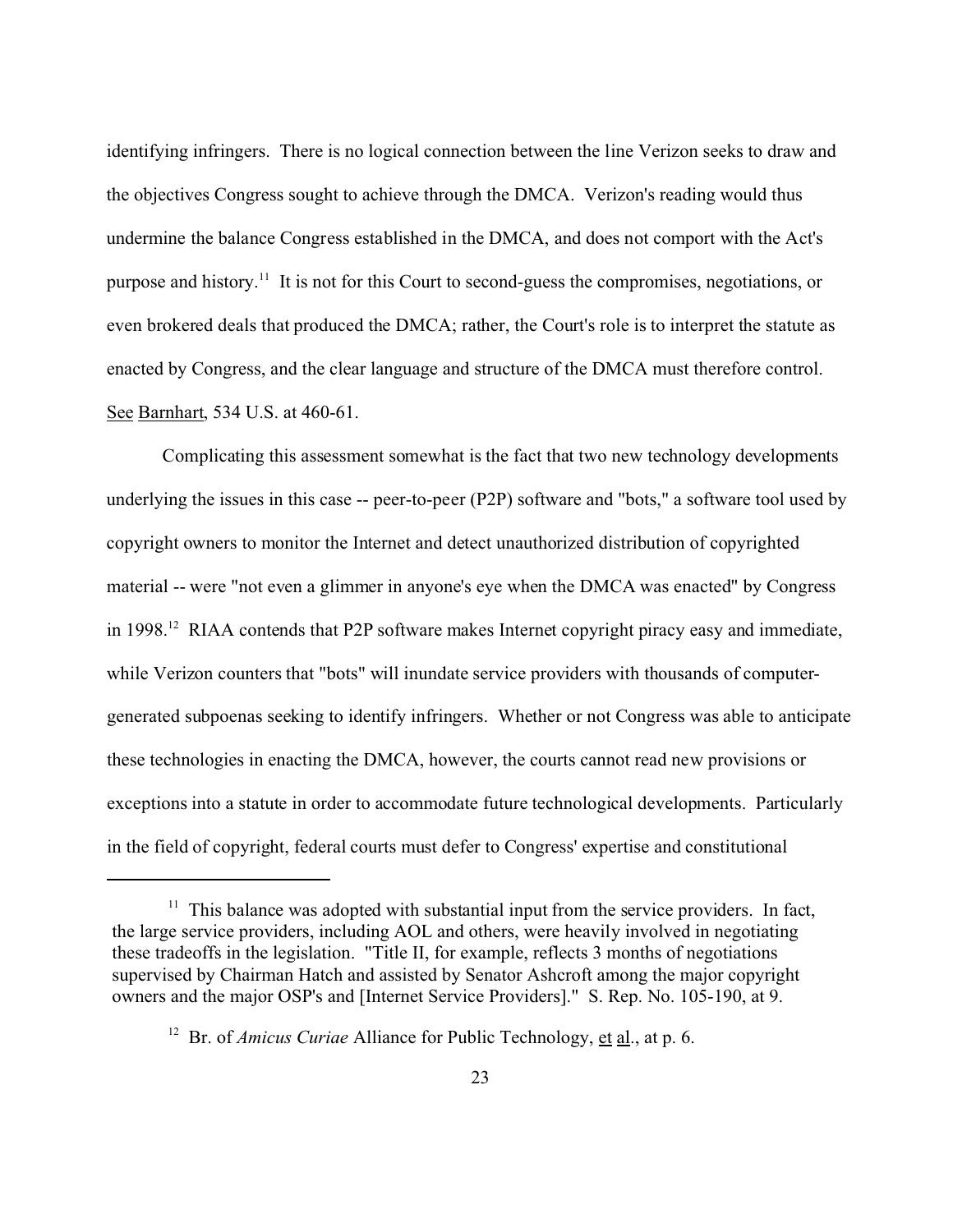identifying infringers. There is no logical connection between the line Verizon seeks to draw and the objectives Congress sought to achieve through the DMCA. Verizon's reading would thus undermine the balance Congress established in the DMCA, and does not comport with the Act's purpose and history.<sup>11</sup> It is not for this Court to second-guess the compromises, negotiations, or even brokered deals that produced the DMCA; rather, the Court's role is to interpret the statute as enacted by Congress, and the clear language and structure of the DMCA must therefore control. See Barnhart, 534 U.S. at 460-61.

Complicating this assessment somewhat is the fact that two new technology developments underlying the issues in this case -- peer-to-peer (P2P) software and "bots," a software tool used by copyright owners to monitor the Internet and detect unauthorized distribution of copyrighted material -- were "not even a glimmer in anyone's eye when the DMCA was enacted" by Congress in 1998.<sup>12</sup> RIAA contends that P2P software makes Internet copyright piracy easy and immediate, while Verizon counters that "bots" will inundate service providers with thousands of computergenerated subpoenas seeking to identify infringers. Whether or not Congress was able to anticipate these technologies in enacting the DMCA, however, the courts cannot read new provisions or exceptions into a statute in order to accommodate future technological developments. Particularly in the field of copyright, federal courts must defer to Congress' expertise and constitutional

 $11$  This balance was adopted with substantial input from the service providers. In fact, the large service providers, including AOL and others, were heavily involved in negotiating these tradeoffs in the legislation. "Title II, for example, reflects 3 months of negotiations supervised by Chairman Hatch and assisted by Senator Ashcroft among the major copyright owners and the major OSP's and [Internet Service Providers]." S. Rep. No. 105-190, at 9.

<sup>&</sup>lt;sup>12</sup> Br. of *Amicus Curiae* Alliance for Public Technology, et al., at p. 6.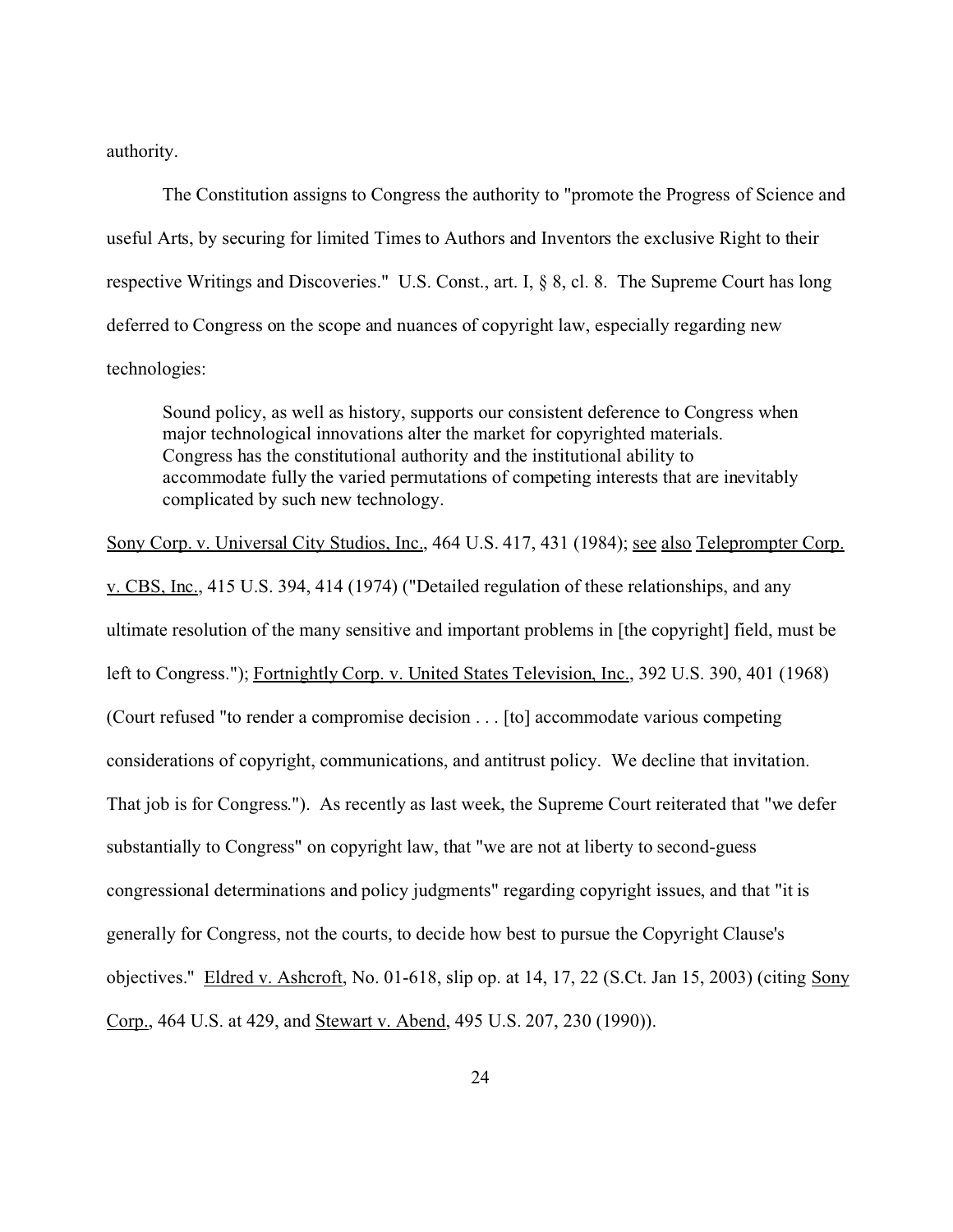authority.

The Constitution assigns to Congress the authority to "promote the Progress of Science and useful Arts, by securing for limited Times to Authors and Inventors the exclusive Right to their respective Writings and Discoveries." U.S. Const., art. I, § 8, cl. 8. The Supreme Court has long deferred to Congress on the scope and nuances of copyright law, especially regarding new technologies:

Sound policy, as well as history, supports our consistent deference to Congress when major technological innovations alter the market for copyrighted materials. Congress has the constitutional authority and the institutional ability to accommodate fully the varied permutations of competing interests that are inevitably complicated by such new technology.

Sony Corp. v. Universal City Studios, Inc., 464 U.S. 417, 431 (1984); see also Teleprompter Corp.

v. CBS, Inc., 415 U.S. 394, 414 (1974) ("Detailed regulation of these relationships, and any ultimate resolution of the many sensitive and important problems in [the copyright] field, must be left to Congress."); Fortnightly Corp. v. United States Television, Inc., 392 U.S. 390, 401 (1968) (Court refused "to render a compromise decision . . . [to] accommodate various competing considerations of copyright, communications, and antitrust policy. We decline that invitation. That job is for Congress."). As recently as last week, the Supreme Court reiterated that "we defer substantially to Congress" on copyright law, that "we are not at liberty to second-guess congressional determinations and policy judgments" regarding copyright issues, and that "it is generally for Congress, not the courts, to decide how best to pursue the Copyright Clause's objectives." Eldred v. Ashcroft, No. 01-618, slip op. at 14, 17, 22 (S.Ct. Jan 15, 2003) (citing Sony Corp., 464 U.S. at 429, and Stewart v. Abend, 495 U.S. 207, 230 (1990)).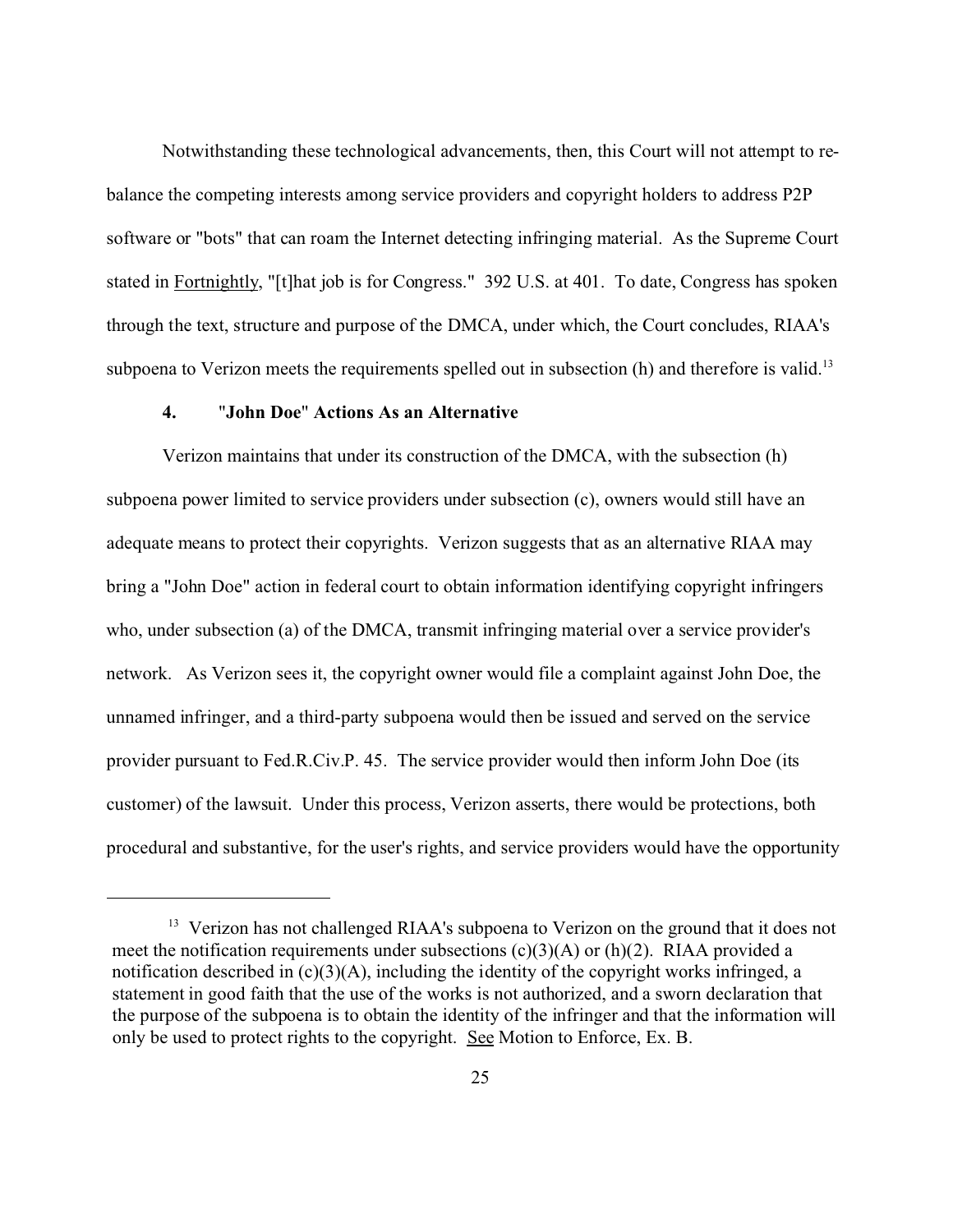Notwithstanding these technological advancements, then, this Court will not attempt to rebalance the competing interests among service providers and copyright holders to address P2P software or "bots" that can roam the Internet detecting infringing material. As the Supreme Court stated in Fortnightly, "[t]hat job is for Congress." 392 U.S. at 401. To date, Congress has spoken through the text, structure and purpose of the DMCA, under which, the Court concludes, RIAA's subpoena to Verizon meets the requirements spelled out in subsection (h) and therefore is valid.<sup>13</sup>

# **4.** "**John Doe**" **Actions As an Alternative**

Verizon maintains that under its construction of the DMCA, with the subsection (h) subpoena power limited to service providers under subsection (c), owners would still have an adequate means to protect their copyrights. Verizon suggests that as an alternative RIAA may bring a "John Doe" action in federal court to obtain information identifying copyright infringers who, under subsection (a) of the DMCA, transmit infringing material over a service provider's network. As Verizon sees it, the copyright owner would file a complaint against John Doe, the unnamed infringer, and a third-party subpoena would then be issued and served on the service provider pursuant to Fed.R.Civ.P. 45. The service provider would then inform John Doe (its customer) of the lawsuit. Under this process, Verizon asserts, there would be protections, both procedural and substantive, for the user's rights, and service providers would have the opportunity

<sup>&</sup>lt;sup>13</sup> Verizon has not challenged RIAA's subpoena to Verizon on the ground that it does not meet the notification requirements under subsections  $(c)(3)(A)$  or  $(h)(2)$ . RIAA provided a notification described in  $(c)(3)(A)$ , including the identity of the copyright works infringed, a statement in good faith that the use of the works is not authorized, and a sworn declaration that the purpose of the subpoena is to obtain the identity of the infringer and that the information will only be used to protect rights to the copyright. See Motion to Enforce, Ex. B.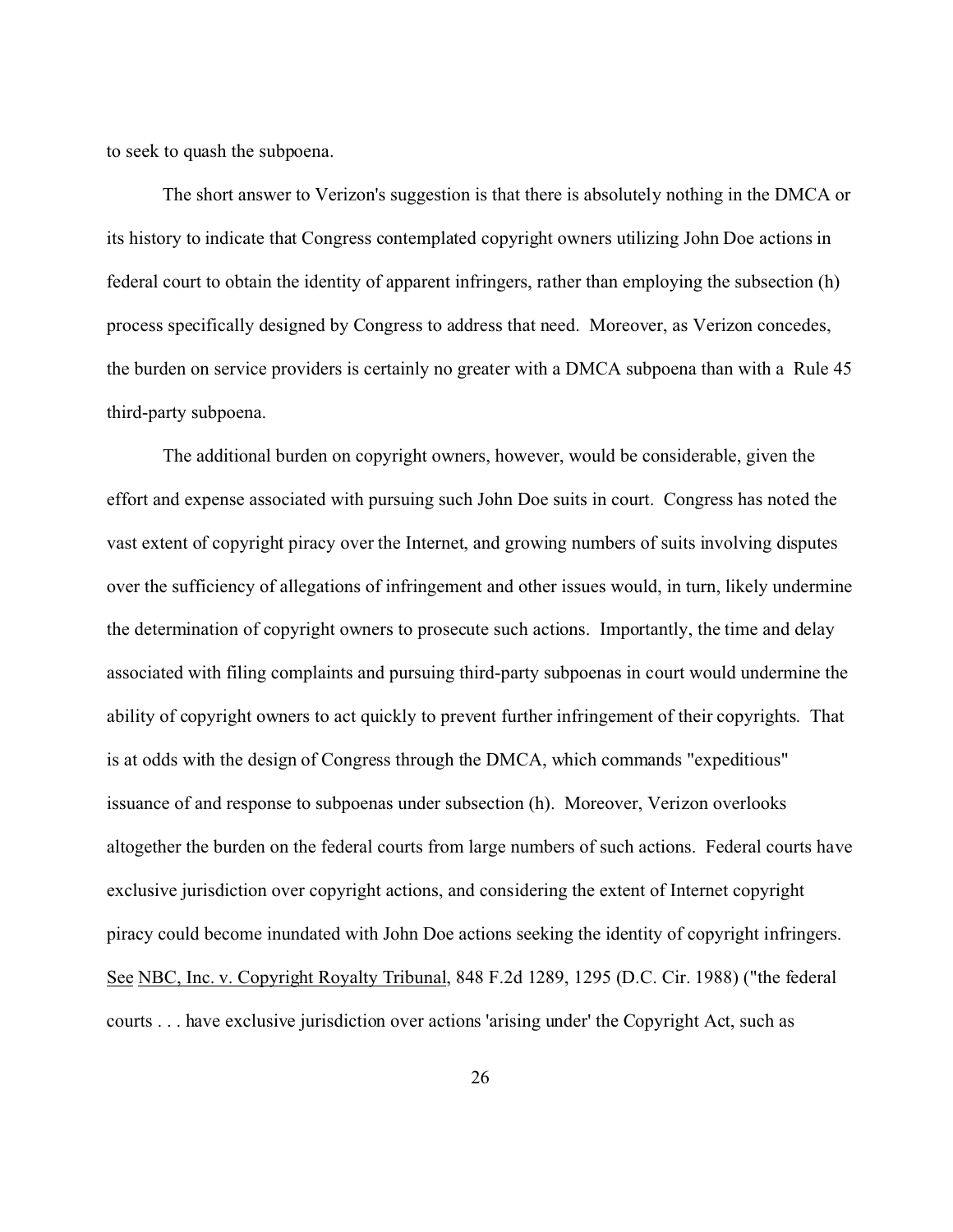to seek to quash the subpoena.

The short answer to Verizon's suggestion is that there is absolutely nothing in the DMCA or its history to indicate that Congress contemplated copyright owners utilizing John Doe actions in federal court to obtain the identity of apparent infringers, rather than employing the subsection (h) process specifically designed by Congress to address that need. Moreover, as Verizon concedes, the burden on service providers is certainly no greater with a DMCA subpoena than with a Rule 45 third-party subpoena.

The additional burden on copyright owners, however, would be considerable, given the effort and expense associated with pursuing such John Doe suits in court. Congress has noted the vast extent of copyright piracy over the Internet, and growing numbers of suits involving disputes over the sufficiency of allegations of infringement and other issues would, in turn, likely undermine the determination of copyright owners to prosecute such actions. Importantly, the time and delay associated with filing complaints and pursuing third-party subpoenas in court would undermine the ability of copyright owners to act quickly to prevent further infringement of their copyrights. That is at odds with the design of Congress through the DMCA, which commands "expeditious" issuance of and response to subpoenas under subsection (h). Moreover, Verizon overlooks altogether the burden on the federal courts from large numbers of such actions. Federal courts have exclusive jurisdiction over copyright actions, and considering the extent of Internet copyright piracy could become inundated with John Doe actions seeking the identity of copyright infringers. See NBC, Inc. v. Copyright Royalty Tribunal, 848 F.2d 1289, 1295 (D.C. Cir. 1988) ("the federal courts . . . have exclusive jurisdiction over actions 'arising under' the Copyright Act, such as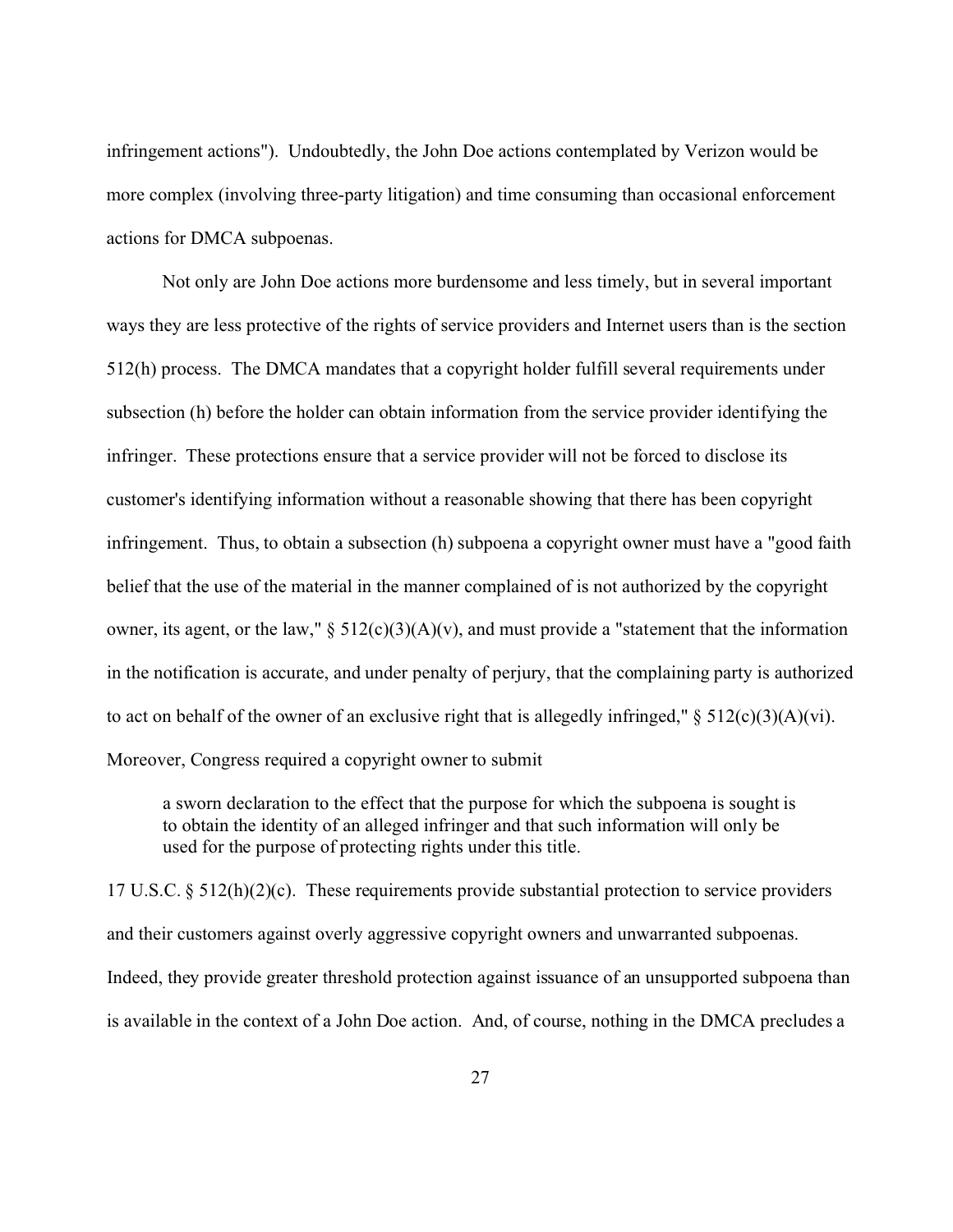infringement actions"). Undoubtedly, the John Doe actions contemplated by Verizon would be more complex (involving three-party litigation) and time consuming than occasional enforcement actions for DMCA subpoenas.

Not only are John Doe actions more burdensome and less timely, but in several important ways they are less protective of the rights of service providers and Internet users than is the section 512(h) process. The DMCA mandates that a copyright holder fulfill several requirements under subsection (h) before the holder can obtain information from the service provider identifying the infringer. These protections ensure that a service provider will not be forced to disclose its customer's identifying information without a reasonable showing that there has been copyright infringement. Thus, to obtain a subsection (h) subpoena a copyright owner must have a "good faith belief that the use of the material in the manner complained of is not authorized by the copyright owner, its agent, or the law,"  $\S$  512(c)(3)(A)(v), and must provide a "statement that the information in the notification is accurate, and under penalty of perjury, that the complaining party is authorized to act on behalf of the owner of an exclusive right that is allegedly infringed,"  $\S$  512(c)(3)(A)(vi). Moreover, Congress required a copyright owner to submit

a sworn declaration to the effect that the purpose for which the subpoena is sought is to obtain the identity of an alleged infringer and that such information will only be used for the purpose of protecting rights under this title.

17 U.S.C. § 512(h)(2)(c). These requirements provide substantial protection to service providers and their customers against overly aggressive copyright owners and unwarranted subpoenas. Indeed, they provide greater threshold protection against issuance of an unsupported subpoena than is available in the context of a John Doe action. And, of course, nothing in the DMCA precludes a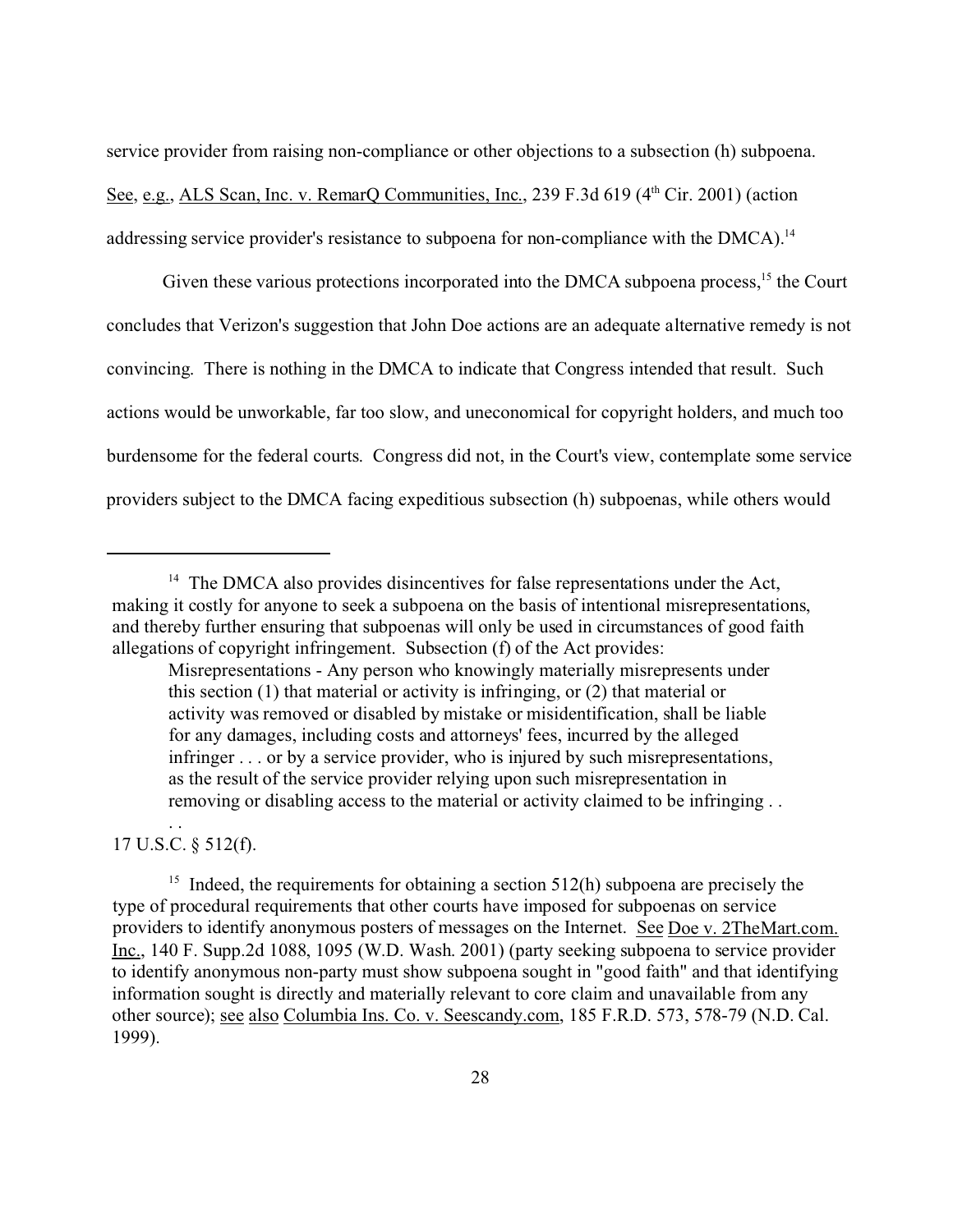service provider from raising non-compliance or other objections to a subsection (h) subpoena. See, e.g., ALS Scan, Inc. v. RemarO Communities, Inc., 239 F.3d 619 ( $4<sup>th</sup> Cir. 2001$ ) (action addressing service provider's resistance to subpoena for non-compliance with the DMCA).<sup>14</sup>

Given these various protections incorporated into the DMCA subpoena process,<sup>15</sup> the Court concludes that Verizon's suggestion that John Doe actions are an adequate alternative remedy is not convincing. There is nothing in the DMCA to indicate that Congress intended that result. Such actions would be unworkable, far too slow, and uneconomical for copyright holders, and much too burdensome for the federal courts. Congress did not, in the Court's view, contemplate some service providers subject to the DMCA facing expeditious subsection (h) subpoenas, while others would

. . 17 U.S.C. § 512(f).

<sup>15</sup> Indeed, the requirements for obtaining a section  $512(h)$  subpoena are precisely the type of procedural requirements that other courts have imposed for subpoenas on service providers to identify anonymous posters of messages on the Internet. See Doe v. 2TheMart.com. Inc., 140 F. Supp.2d 1088, 1095 (W.D. Wash. 2001) (party seeking subpoena to service provider to identify anonymous non-party must show subpoena sought in "good faith" and that identifying information sought is directly and materially relevant to core claim and unavailable from any other source); see also Columbia Ins. Co. v. Seescandy.com, 185 F.R.D. 573, 578-79 (N.D. Cal. 1999).

 $14$  The DMCA also provides disincentives for false representations under the Act, making it costly for anyone to seek a subpoena on the basis of intentional misrepresentations, and thereby further ensuring that subpoenas will only be used in circumstances of good faith allegations of copyright infringement. Subsection (f) of the Act provides:

Misrepresentations - Any person who knowingly materially misrepresents under this section (1) that material or activity is infringing, or (2) that material or activity was removed or disabled by mistake or misidentification, shall be liable for any damages, including costs and attorneys' fees, incurred by the alleged infringer . . . or by a service provider, who is injured by such misrepresentations, as the result of the service provider relying upon such misrepresentation in removing or disabling access to the material or activity claimed to be infringing . .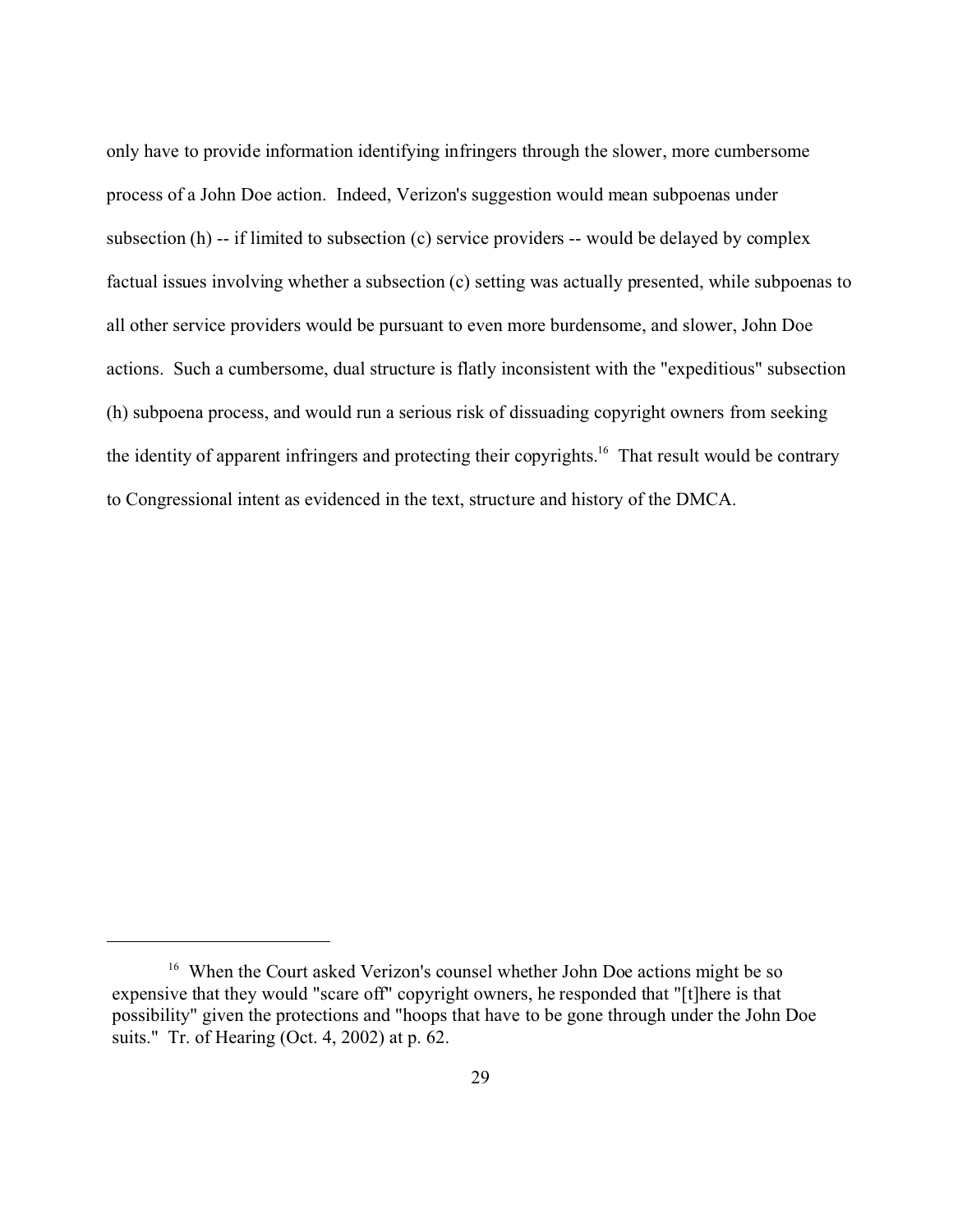only have to provide information identifying infringers through the slower, more cumbersome process of a John Doe action. Indeed, Verizon's suggestion would mean subpoenas under subsection (h) -- if limited to subsection (c) service providers -- would be delayed by complex factual issues involving whether a subsection (c) setting was actually presented, while subpoenas to all other service providers would be pursuant to even more burdensome, and slower, John Doe actions. Such a cumbersome, dual structure is flatly inconsistent with the "expeditious" subsection (h) subpoena process, and would run a serious risk of dissuading copyright owners from seeking the identity of apparent infringers and protecting their copyrights.<sup>16</sup> That result would be contrary to Congressional intent as evidenced in the text, structure and history of the DMCA.

<sup>&</sup>lt;sup>16</sup> When the Court asked Verizon's counsel whether John Doe actions might be so expensive that they would "scare off" copyright owners, he responded that "[t]here is that possibility" given the protections and "hoops that have to be gone through under the John Doe suits." Tr. of Hearing (Oct. 4, 2002) at p. 62.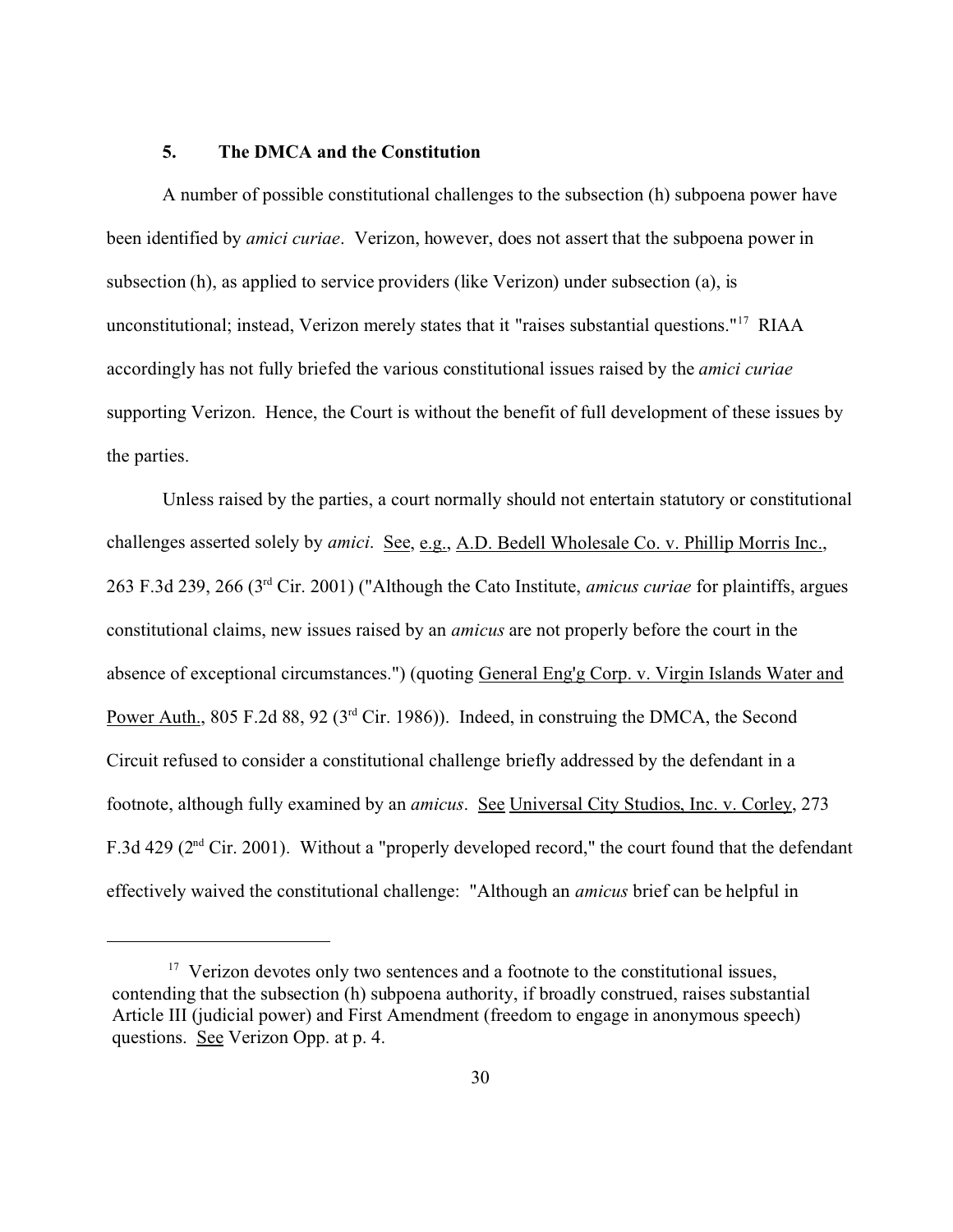### **5. The DMCA and the Constitution**

A number of possible constitutional challenges to the subsection (h) subpoena power have been identified by *amici curiae*. Verizon, however, does not assert that the subpoena power in subsection (h), as applied to service providers (like Verizon) under subsection (a), is unconstitutional; instead, Verizon merely states that it "raises substantial questions."<sup>17</sup> RIAA accordingly has not fully briefed the various constitutional issues raised by the *amici curiae* supporting Verizon. Hence, the Court is without the benefit of full development of these issues by the parties.

Unless raised by the parties, a court normally should not entertain statutory or constitutional challenges asserted solely by *amici*. See, e.g., A.D. Bedell Wholesale Co. v. Phillip Morris Inc., 263 F.3d 239, 266 (3rd Cir. 2001) ("Although the Cato Institute, *amicus curiae* for plaintiffs, argues constitutional claims, new issues raised by an *amicus* are not properly before the court in the absence of exceptional circumstances.") (quoting General Eng'g Corp. v. Virgin Islands Water and Power Auth., 805 F.2d 88, 92 (3<sup>rd</sup> Cir. 1986)). Indeed, in construing the DMCA, the Second Circuit refused to consider a constitutional challenge briefly addressed by the defendant in a footnote, although fully examined by an *amicus*. See Universal City Studios, Inc. v. Corley, 273 F.3d 429 (2<sup>nd</sup> Cir. 2001). Without a "properly developed record," the court found that the defendant effectively waived the constitutional challenge: "Although an *amicus* brief can be helpful in

<sup>&</sup>lt;sup>17</sup> Verizon devotes only two sentences and a footnote to the constitutional issues, contending that the subsection (h) subpoena authority, if broadly construed, raises substantial Article III (judicial power) and First Amendment (freedom to engage in anonymous speech) questions. See Verizon Opp. at p. 4.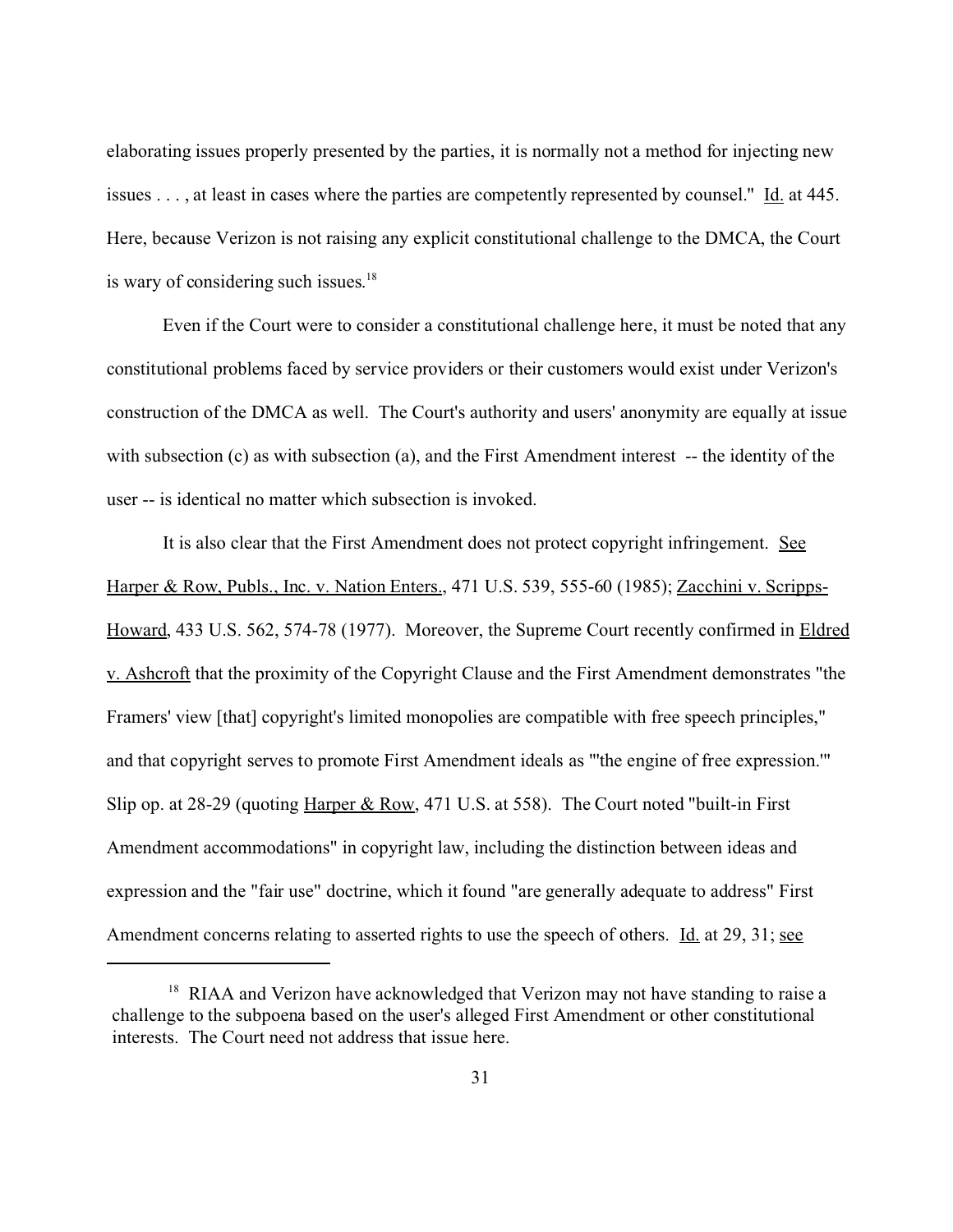elaborating issues properly presented by the parties, it is normally not a method for injecting new issues . . . , at least in cases where the parties are competently represented by counsel." Id. at 445. Here, because Verizon is not raising any explicit constitutional challenge to the DMCA, the Court is wary of considering such issues.<sup>18</sup>

Even if the Court were to consider a constitutional challenge here, it must be noted that any constitutional problems faced by service providers or their customers would exist under Verizon's construction of the DMCA as well. The Court's authority and users' anonymity are equally at issue with subsection (c) as with subsection (a), and the First Amendment interest -- the identity of the user -- is identical no matter which subsection is invoked.

It is also clear that the First Amendment does not protect copyright infringement. See Harper & Row, Publs., Inc. v. Nation Enters., 471 U.S. 539, 555-60 (1985); Zacchini v. Scripps-Howard, 433 U.S. 562, 574-78 (1977). Moreover, the Supreme Court recently confirmed in Eldred v. Ashcroft that the proximity of the Copyright Clause and the First Amendment demonstrates "the Framers' view [that] copyright's limited monopolies are compatible with free speech principles," and that copyright serves to promote First Amendment ideals as "'the engine of free expression.'" Slip op. at 28-29 (quoting Harper & Row, 471 U.S. at 558). The Court noted "built-in First Amendment accommodations" in copyright law, including the distinction between ideas and expression and the "fair use" doctrine, which it found "are generally adequate to address" First Amendment concerns relating to asserted rights to use the speech of others. Id. at 29, 31; see

<sup>&</sup>lt;sup>18</sup> RIAA and Verizon have acknowledged that Verizon may not have standing to raise a challenge to the subpoena based on the user's alleged First Amendment or other constitutional interests. The Court need not address that issue here.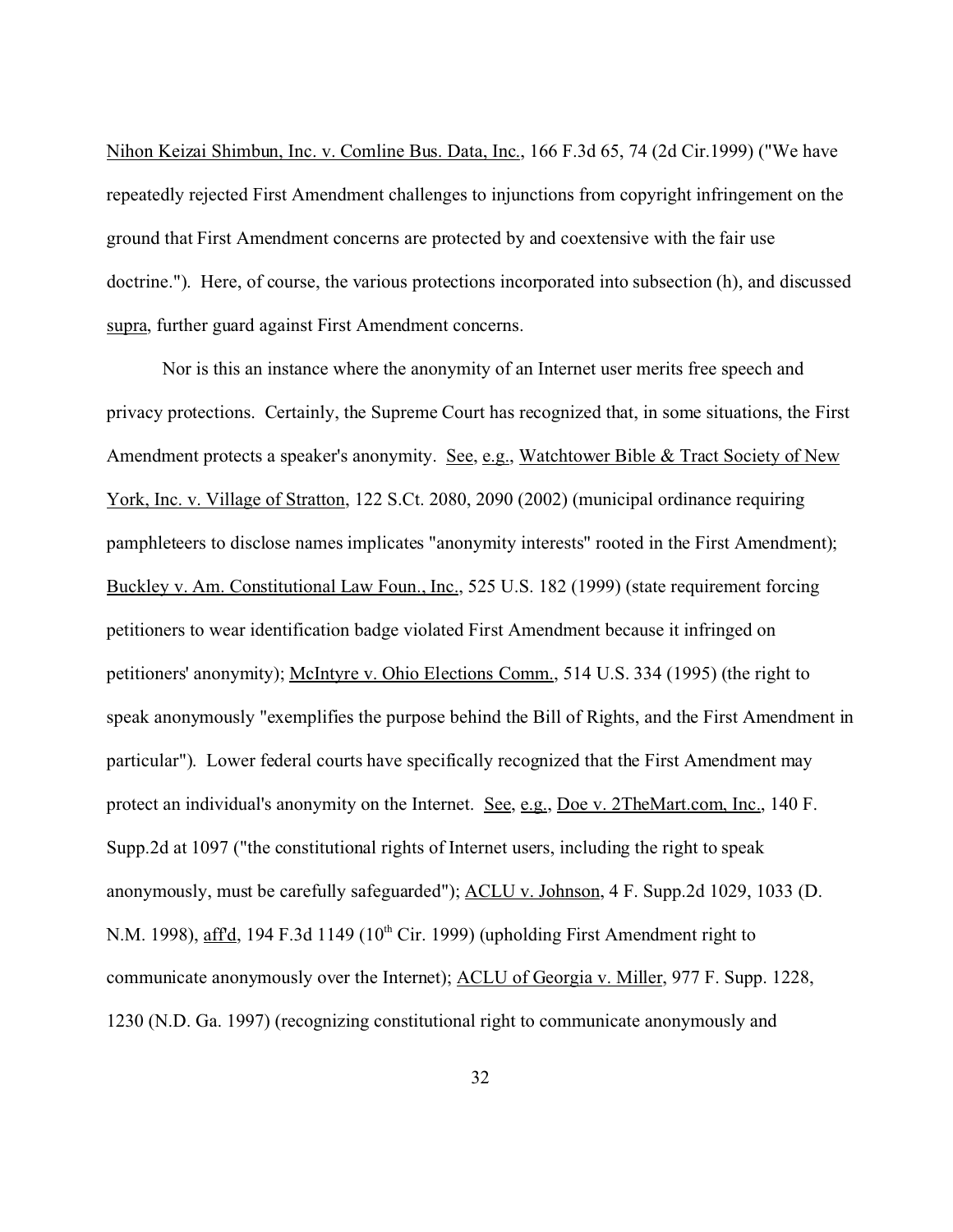Nihon Keizai Shimbun, Inc. v. Comline Bus. Data, Inc., 166 F.3d 65, 74 (2d Cir.1999) ("We have repeatedly rejected First Amendment challenges to injunctions from copyright infringement on the ground that First Amendment concerns are protected by and coextensive with the fair use doctrine."). Here, of course, the various protections incorporated into subsection (h), and discussed supra, further guard against First Amendment concerns.

Nor is this an instance where the anonymity of an Internet user merits free speech and privacy protections. Certainly, the Supreme Court has recognized that, in some situations, the First Amendment protects a speaker's anonymity. See, e.g., Watchtower Bible & Tract Society of New York, Inc. v. Village of Stratton, 122 S.Ct. 2080, 2090 (2002) (municipal ordinance requiring pamphleteers to disclose names implicates "anonymity interests" rooted in the First Amendment); Buckley v. Am. Constitutional Law Foun., Inc., 525 U.S. 182 (1999) (state requirement forcing petitioners to wear identification badge violated First Amendment because it infringed on petitioners' anonymity); McIntyre v. Ohio Elections Comm., 514 U.S. 334 (1995) (the right to speak anonymously "exemplifies the purpose behind the Bill of Rights, and the First Amendment in particular"). Lower federal courts have specifically recognized that the First Amendment may protect an individual's anonymity on the Internet. See, e.g., Doe v. 2TheMart.com, Inc., 140 F. Supp.2d at 1097 ("the constitutional rights of Internet users, including the right to speak anonymously, must be carefully safeguarded"); ACLU v. Johnson, 4 F. Supp.2d 1029, 1033 (D. N.M. 1998), aff'd, 194 F.3d 1149 (10<sup>th</sup> Cir. 1999) (upholding First Amendment right to communicate anonymously over the Internet); ACLU of Georgia v. Miller, 977 F. Supp. 1228, 1230 (N.D. Ga. 1997) (recognizing constitutional right to communicate anonymously and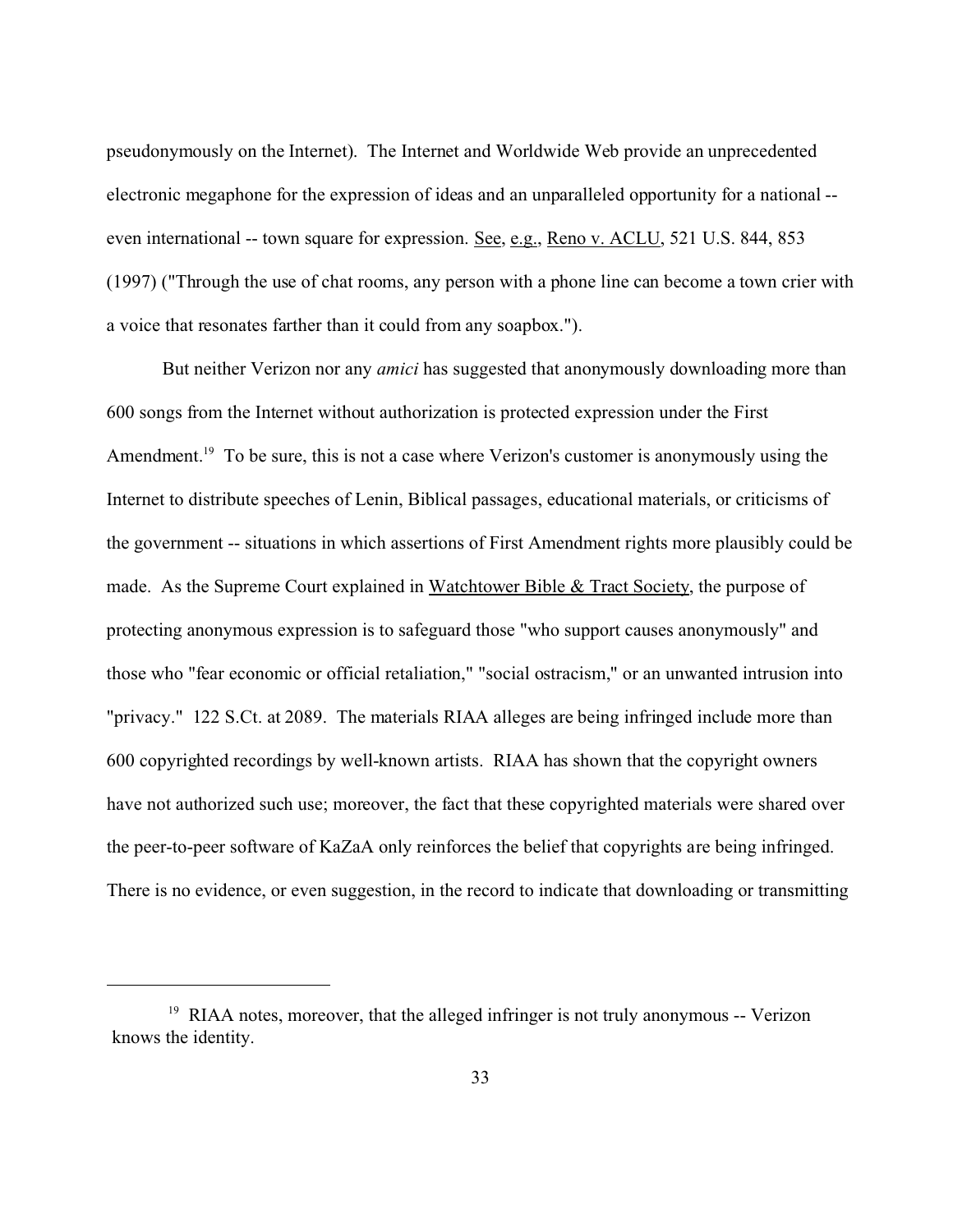pseudonymously on the Internet). The Internet and Worldwide Web provide an unprecedented electronic megaphone for the expression of ideas and an unparalleled opportunity for a national - even international -- town square for expression. See, e.g., Reno v. ACLU, 521 U.S. 844, 853 (1997) ("Through the use of chat rooms, any person with a phone line can become a town crier with a voice that resonates farther than it could from any soapbox.").

But neither Verizon nor any *amici* has suggested that anonymously downloading more than 600 songs from the Internet without authorization is protected expression under the First Amendment.<sup>19</sup> To be sure, this is not a case where Verizon's customer is anonymously using the Internet to distribute speeches of Lenin, Biblical passages, educational materials, or criticisms of the government -- situations in which assertions of First Amendment rights more plausibly could be made. As the Supreme Court explained in Watchtower Bible & Tract Society, the purpose of protecting anonymous expression is to safeguard those "who support causes anonymously" and those who "fear economic or official retaliation," "social ostracism," or an unwanted intrusion into "privacy." 122 S.Ct. at 2089. The materials RIAA alleges are being infringed include more than 600 copyrighted recordings by well-known artists. RIAA has shown that the copyright owners have not authorized such use; moreover, the fact that these copyrighted materials were shared over the peer-to-peer software of KaZaA only reinforces the belief that copyrights are being infringed. There is no evidence, or even suggestion, in the record to indicate that downloading or transmitting

<sup>&</sup>lt;sup>19</sup> RIAA notes, moreover, that the alleged infringer is not truly anonymous -- Verizon knows the identity.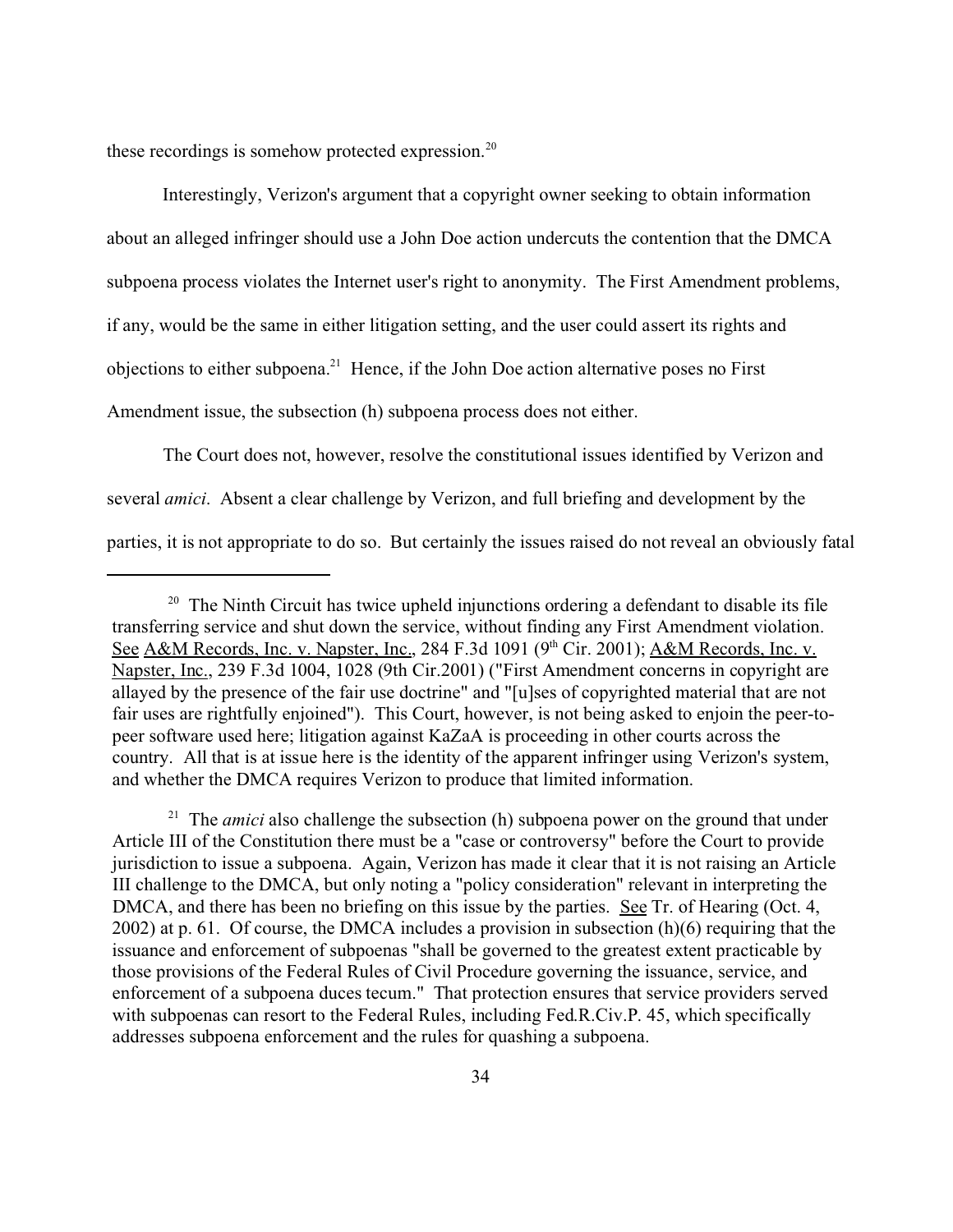these recordings is somehow protected expression. $20$ 

Interestingly, Verizon's argument that a copyright owner seeking to obtain information about an alleged infringer should use a John Doe action undercuts the contention that the DMCA subpoena process violates the Internet user's right to anonymity. The First Amendment problems, if any, would be the same in either litigation setting, and the user could assert its rights and objections to either subpoena.<sup>21</sup> Hence, if the John Doe action alternative poses no First Amendment issue, the subsection (h) subpoena process does not either.

The Court does not, however, resolve the constitutional issues identified by Verizon and several *amici*. Absent a clear challenge by Verizon, and full briefing and development by the parties, it is not appropriate to do so. But certainly the issues raised do not reveal an obviously fatal

<sup>21</sup> The *amici* also challenge the subsection (h) subpoena power on the ground that under Article III of the Constitution there must be a "case or controversy" before the Court to provide jurisdiction to issue a subpoena. Again, Verizon has made it clear that it is not raising an Article III challenge to the DMCA, but only noting a "policy consideration" relevant in interpreting the DMCA, and there has been no briefing on this issue by the parties. See Tr. of Hearing (Oct. 4, 2002) at p. 61. Of course, the DMCA includes a provision in subsection (h)(6) requiring that the issuance and enforcement of subpoenas "shall be governed to the greatest extent practicable by those provisions of the Federal Rules of Civil Procedure governing the issuance, service, and enforcement of a subpoena duces tecum." That protection ensures that service providers served with subpoenas can resort to the Federal Rules, including Fed.R.Civ.P. 45, which specifically addresses subpoena enforcement and the rules for quashing a subpoena.

 $20$  The Ninth Circuit has twice upheld injunctions ordering a defendant to disable its file transferring service and shut down the service, without finding any First Amendment violation. See A&M Records, Inc. v. Napster, Inc., 284 F.3d 1091 ( $9<sup>th</sup>$  Cir. 2001); A&M Records, Inc. v. Napster, Inc., 239 F.3d 1004, 1028 (9th Cir.2001) ("First Amendment concerns in copyright are allayed by the presence of the fair use doctrine" and "[u]ses of copyrighted material that are not fair uses are rightfully enjoined"). This Court, however, is not being asked to enjoin the peer-topeer software used here; litigation against KaZaA is proceeding in other courts across the country. All that is at issue here is the identity of the apparent infringer using Verizon's system, and whether the DMCA requires Verizon to produce that limited information.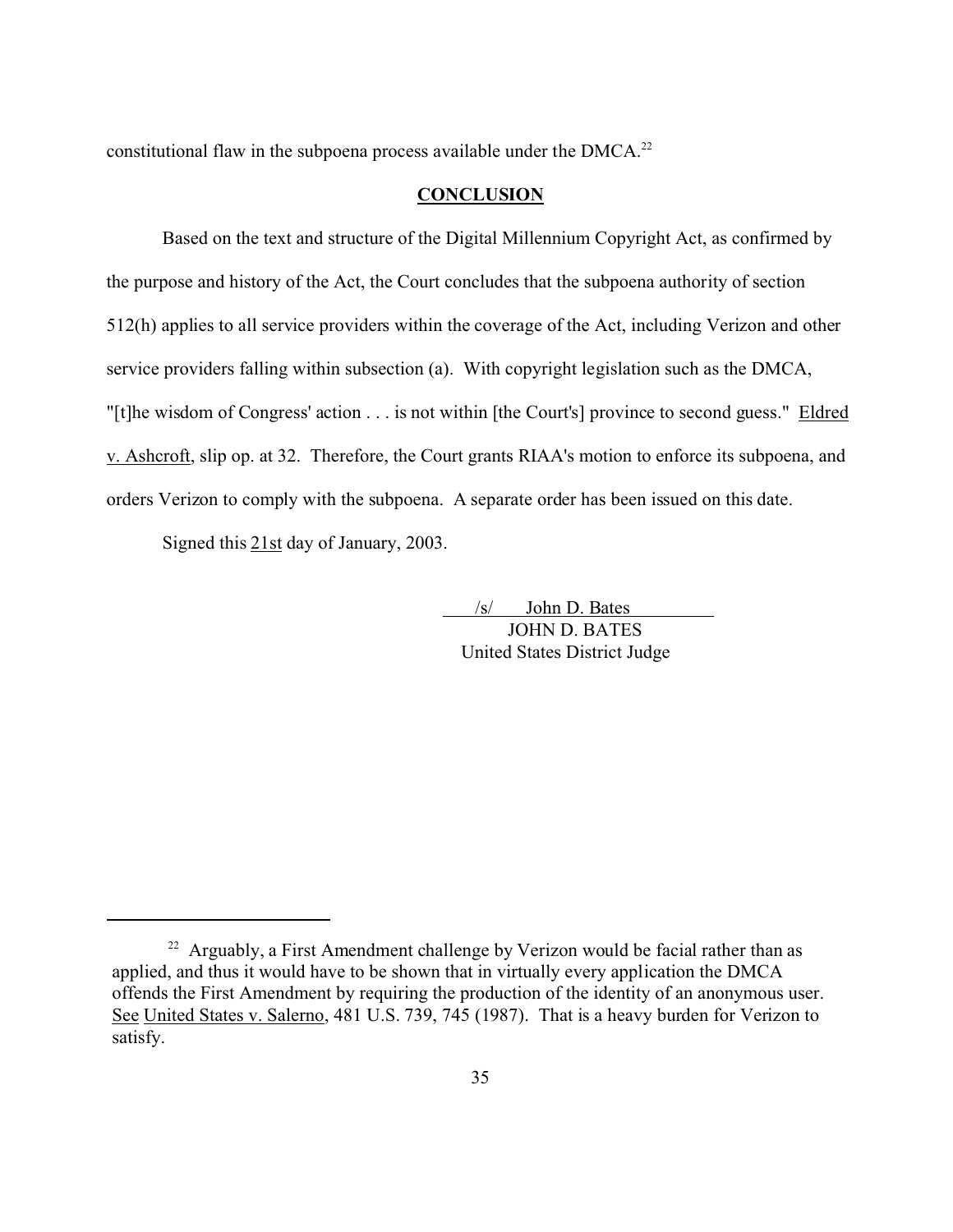constitutional flaw in the subpoena process available under the DMCA.<sup>22</sup>

### **CONCLUSION**

Based on the text and structure of the Digital Millennium Copyright Act, as confirmed by the purpose and history of the Act, the Court concludes that the subpoena authority of section 512(h) applies to all service providers within the coverage of the Act, including Verizon and other service providers falling within subsection (a). With copyright legislation such as the DMCA, "[t]he wisdom of Congress' action . . . is not within [the Court's] province to second guess." Eldred v. Ashcroft, slip op. at 32. Therefore, the Court grants RIAA's motion to enforce its subpoena, and orders Verizon to comply with the subpoena. A separate order has been issued on this date.

Signed this 21st day of January, 2003.

 /s/ John D. Bates JOHN D. BATES United States District Judge

 $22$  Arguably, a First Amendment challenge by Verizon would be facial rather than as applied, and thus it would have to be shown that in virtually every application the DMCA offends the First Amendment by requiring the production of the identity of an anonymous user. See United States v. Salerno, 481 U.S. 739, 745 (1987). That is a heavy burden for Verizon to satisfy.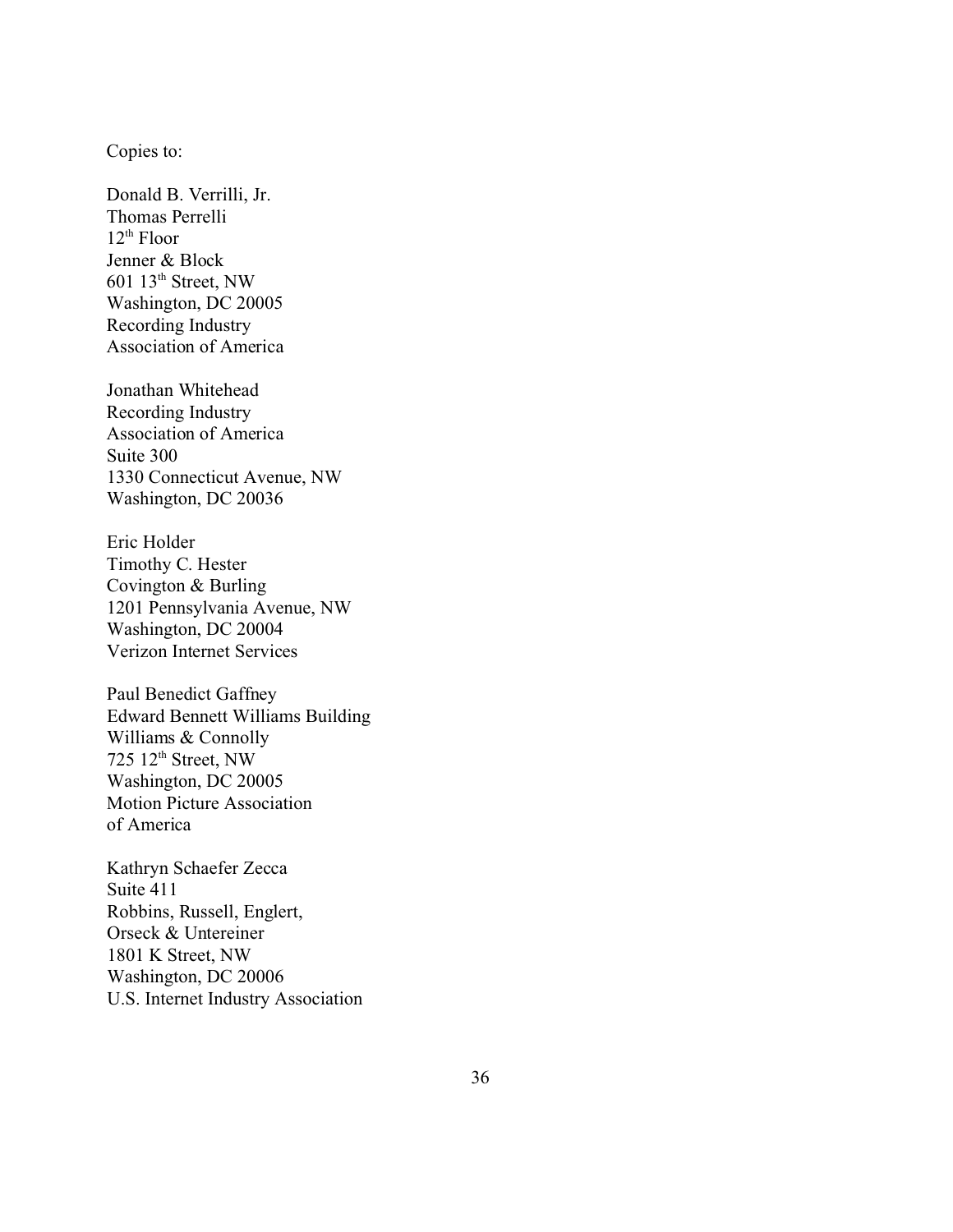## Copies to:

Donald B. Verrilli, Jr. Thomas Perrelli  $12<sup>th</sup>$  Floor Jenner & Block 601 13th Street, NW Washington, DC 20005 Recording Industry Association of America

Jonathan Whitehead Recording Industry Association of America Suite 300 1330 Connecticut Avenue, NW Washington, DC 20036

Eric Holder Timothy C. Hester Covington & Burling 1201 Pennsylvania Avenue, NW Washington, DC 20004 Verizon Internet Services

Paul Benedict Gaffney Edward Bennett Williams Building Williams & Connolly 725 12<sup>th</sup> Street, NW Washington, DC 20005 Motion Picture Association of America

Kathryn Schaefer Zecca Suite 411 Robbins, Russell, Englert, Orseck & Untereiner 1801 K Street, NW Washington, DC 20006 U.S. Internet Industry Association